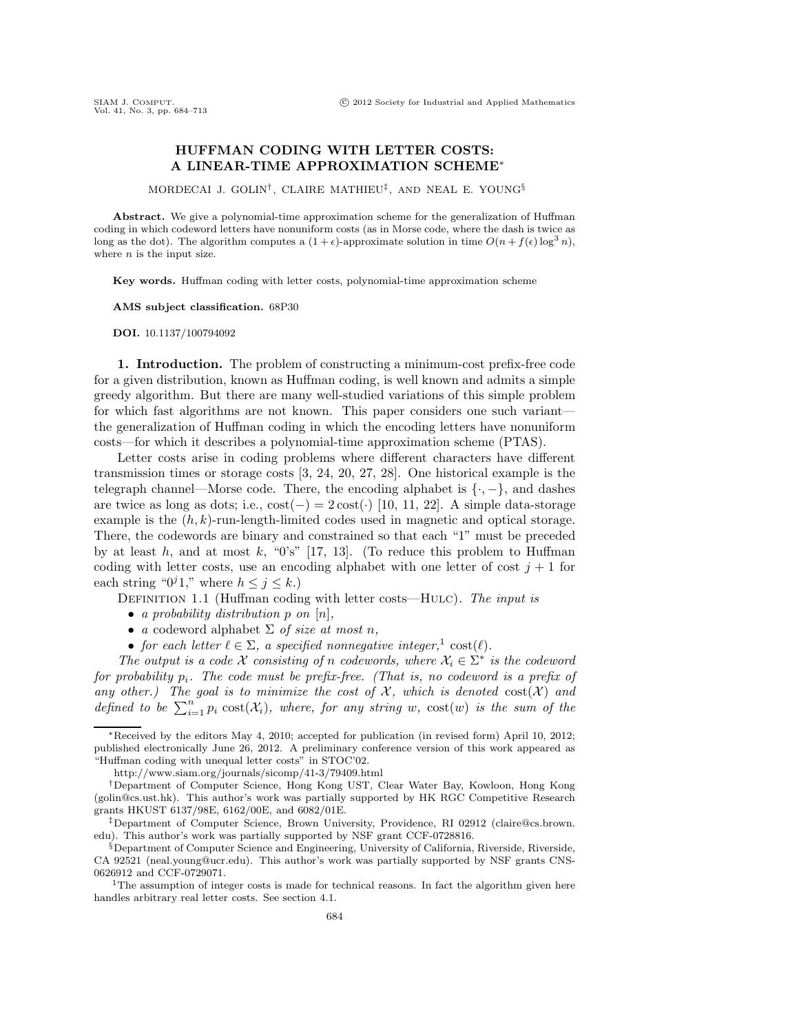## **HUFFMAN CODING WITH LETTER COSTS: A LINEAR-TIME APPROXIMATION SCHEME**∗

MORDECAI J. GOLIN† , CLAIRE MATHIEU‡, AND NEAL E. YOUNG§

**Abstract.** We give a polynomial-time approximation scheme for the generalization of Huffman coding in which codeword letters have nonuniform costs (as in Morse code, where the dash is twice as long as the dot). The algorithm computes a  $(1 + \epsilon)$ -approximate solution in time  $O(n + f(\epsilon) \log^3 n)$ , where  $n$  is the input size.

**Key words.** Huffman coding with letter costs, polynomial-time approximation scheme

**AMS subject classification.** 68P30

**DOI.** 10.1137/100794092

**1. Introduction.** The problem of constructing a minimum-cost prefix-free code for a given distribution, known as Huffman coding, is well known and admits a simple greedy algorithm. But there are many well-studied variations of this simple problem for which fast algorithms are not known. This paper considers one such variantthe generalization of Huffman coding in which the encoding letters have nonuniform costs—for which it describes a polynomial-time approximation scheme (PTAS).

Letter costs arise in coding problems where different characters have different transmission times or storage costs [3, 24, 20, 27, 28]. One historical example is the telegraph channel—Morse code. There, the encoding alphabet is  $\{\cdot, -\}$ , and dashes are twice as long as dots; i.e.,  $cost(-) = 2 cost(\cdot)$  [10, 11, 22]. A simple data-storage example is the  $(h, k)$ -run-length-limited codes used in magnetic and optical storage. There, the codewords are binary and constrained so that each "1" must be preceded by at least  $h$ , and at most  $k$ , "0's" [17, 13]. (To reduce this problem to Huffman coding with letter costs, use an encoding alphabet with one letter of cost  $j + 1$  for each string " $0<sup>j</sup>1$ ," where  $h \leq j \leq k$ .)

Definition 1.1 (Huffman coding with letter costs—Hulc). *The input is*

- *a probability distribution* p *on* [n]*,*
- *a* codeword alphabet Σ *of size at most* n*,*
- *for each letter*  $\ell \in \Sigma$ , a specified nonnegative integer,<sup>1</sup> cost $(\ell)$ .

*The output is a code*  $X$  *consisting of* n *codewords, where*  $X_i \in \Sigma^*$  *is the codeword for probability* pi*. The code must be prefix-free. (That is, no codeword is a prefix of any other.) The goal is to minimize the cost of*  $\mathcal{X}$ *, which is denoted*  $\text{cost}(\mathcal{X})$  and defined to be  $\sum_{i=1}^{n} p_i \text{ cost}(\mathcal{X}_i)$ *, where, for any string* w,  $\text{cost}(w)$  *is the sum of the* 

<sup>∗</sup>Received by the editors May 4, 2010; accepted for publication (in revised form) April 10, 2012; published electronically June 26, 2012. A preliminary conference version of this work appeared as "Huffman coding with unequal letter costs" in STOC'02.

http://www.siam.org/journals/sicomp/41-3/79409.html

<sup>†</sup>Department of Computer Science, Hong Kong UST, Clear Water Bay, Kowloon, Hong Kong (golin@cs.ust.hk). This author's work was partially supported by HK RGC Competitive Research grants HKUST 6137/98E, 6162/00E, and 6082/01E.

<sup>‡</sup>Department of Computer Science, Brown University, Providence, RI 02912 (claire@cs.brown. edu). This author's work was partially supported by NSF grant CCF-0728816.

<sup>§</sup>Department of Computer Science and Engineering, University of California, Riverside, Riverside, CA 92521 (neal.young@ucr.edu). This author's work was partially supported by NSF grants CNS-0626912 and CCF-0729071.<br><sup>1</sup>The assumption of integer costs is made for technical reasons. In fact the algorithm given here

handles arbitrary real letter costs. See section 4.1.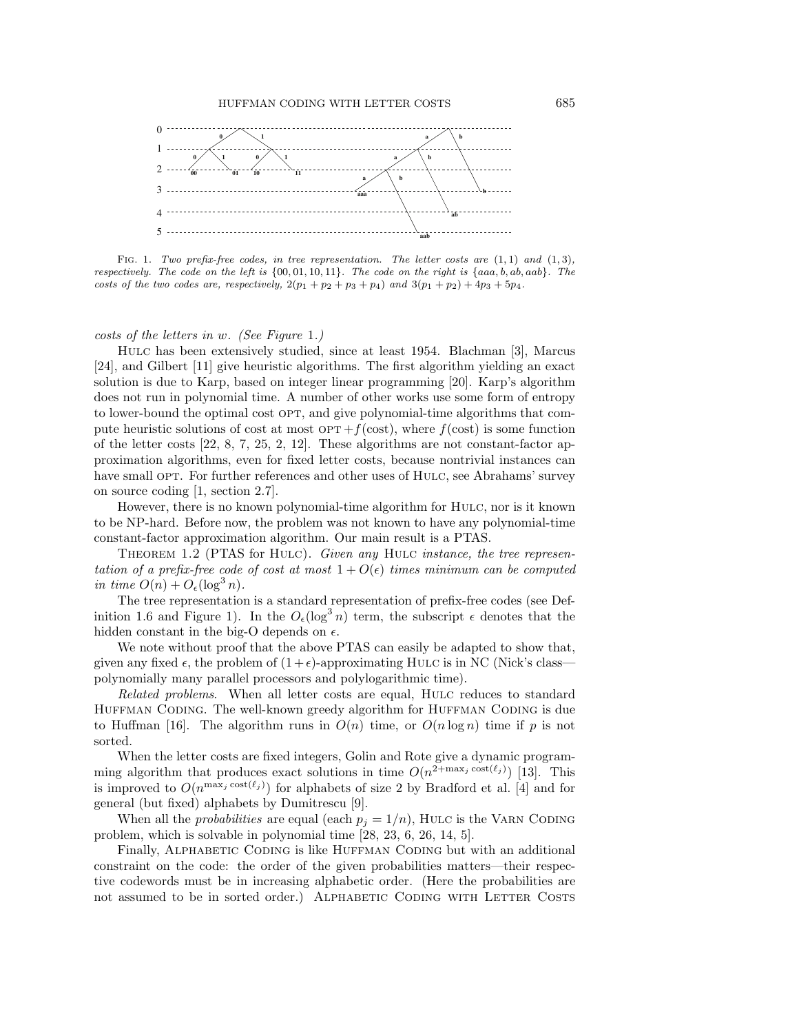

FIG. 1. Two prefix-free codes, in tree representation. The letter costs are  $(1, 1)$  and  $(1, 3)$ , respectively. The code on the left is  $\{00, 01, 10, 11\}$ . The code on the right is  $\{aaa, b, ab, aab\}$ . The costs of the two codes are, respectively,  $2(p_1 + p_2 + p_3 + p_4)$  and  $3(p_1 + p_2) + 4p_3 + 5p_4$ .

*costs of the letters in* w*. (See Figure* 1*.)*

Hulc has been extensively studied, since at least 1954. Blachman [3], Marcus [24], and Gilbert [11] give heuristic algorithms. The first algorithm yielding an exact solution is due to Karp, based on integer linear programming [20]. Karp's algorithm does not run in polynomial time. A number of other works use some form of entropy to lower-bound the optimal cost OPT, and give polynomial-time algorithms that compute heuristic solutions of cost at most  $OPT + f(cost)$ , where  $f(cost)$  is some function of the letter costs  $[22, 8, 7, 25, 2, 12]$ . These algorithms are not constant-factor approximation algorithms, even for fixed letter costs, because nontrivial instances can have small OPT. For further references and other uses of HULC, see Abrahams' survey on source coding [1, section 2.7].

However, there is no known polynomial-time algorithm for HULC, nor is it known to be NP-hard. Before now, the problem was not known to have any polynomial-time constant-factor approximation algorithm. Our main result is a PTAS.

Theorem 1.2 (PTAS for Hulc). *Given any* Hulc *instance, the tree representation of a prefix-free code of cost at most*  $1 + O(\epsilon)$  *times minimum can be computed in time*  $O(n) + O_{\epsilon}(\log^3 n)$ .

The tree representation is a standard representation of prefix-free codes (see Definition 1.6 and Figure 1). In the  $O_{\epsilon}(\log^3 n)$  term, the subscript  $\epsilon$  denotes that the hidden constant in the big-O depends on  $\epsilon$ .

We note without proof that the above PTAS can easily be adapted to show that, given any fixed  $\epsilon$ , the problem of  $(1+\epsilon)$ -approximating HuLC is in NC (Nick's class polynomially many parallel processors and polylogarithmic time).

*Related problems*. When all letter costs are equal, HULC reduces to standard HUFFMAN CODING. The well-known greedy algorithm for HUFFMAN CODING is due to Huffman [16]. The algorithm runs in  $O(n)$  time, or  $O(n \log n)$  time if p is not sorted.

When the letter costs are fixed integers, Golin and Rote give a dynamic programming algorithm that produces exact solutions in time  $O(n^{2+\max_j \cos(\ell_j)})$  [13]. This is improved to  $O(n^{\max_j \cos t(\ell_j)})$  for alphabets of size 2 by Bradford et al. [4] and for general (but fixed) alphabets by Dumitrescu [9].

When all the *probabilities* are equal (each  $p_i = 1/n$ ), HULC is the VARN CODING problem, which is solvable in polynomial time [28, 23, 6, 26, 14, 5].

Finally, ALPHABETIC CODING is like HUFFMAN CODING but with an additional constraint on the code: the order of the given probabilities matters—their respective codewords must be in increasing alphabetic order. (Here the probabilities are not assumed to be in sorted order.) ALPHABETIC CODING WITH LETTER COSTS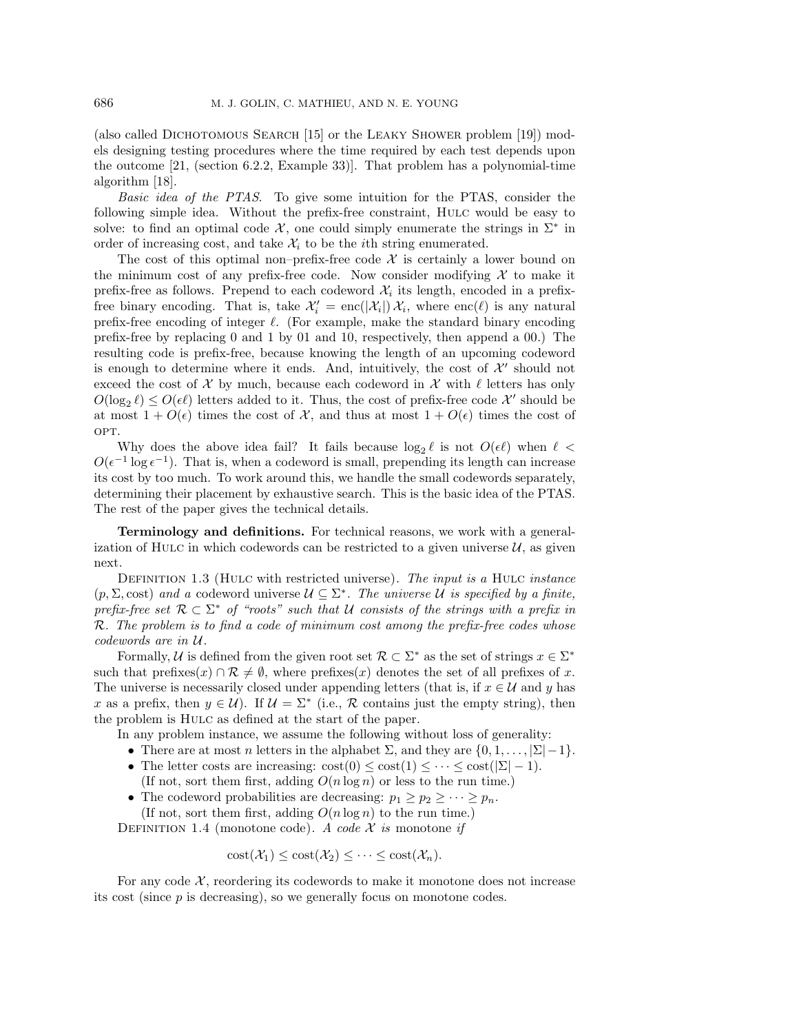(also called DICHOTOMOUS SEARCH  $[15]$  or the LEAKY SHOWER problem  $[19]$ ) models designing testing procedures where the time required by each test depends upon the outcome [21, (section 6.2.2, Example 33)]. That problem has a polynomial-time algorithm [18].

*Basic idea of the PTAS*. To give some intuition for the PTAS, consider the following simple idea. Without the prefix-free constraint, Hulc would be easy to solve: to find an optimal code  $\mathcal{X}$ , one could simply enumerate the strings in  $\Sigma^*$  in order of increasing cost, and take  $\mathcal{X}_i$  to be the *i*th string enumerated.

The cost of this optimal non–prefix-free code  $\mathcal X$  is certainly a lower bound on the minimum cost of any prefix-free code. Now consider modifying  $\mathcal X$  to make it prefix-free as follows. Prepend to each codeword  $\mathcal{X}_i$  its length, encoded in a prefixfree binary encoding. That is, take  $\mathcal{X}'_i = \text{enc}(|\mathcal{X}_i|) \mathcal{X}_i$ , where  $\text{enc}(\ell)$  is any natural prefix-free encoding of integer  $\ell$ . (For example, make the standard binary encoding prefix-free by replacing 0 and 1 by 01 and 10, respectively, then append a 00.) The resulting code is prefix-free, because knowing the length of an upcoming codeword is enough to determine where it ends. And, intuitively, the cost of  $\mathcal{X}'$  should not exceed the cost of X by much, because each codeword in X with  $\ell$  letters has only  $O(\log_2 \ell) \leq O(\epsilon \ell)$  letters added to it. Thus, the cost of prefix-free code  $\mathcal{X}'$  should be<br>at most  $1 + O(\epsilon)$  times the cost of  $\mathcal{X}$  and thus at most  $1 + O(\epsilon)$  times the cost of at most  $1 + O(\epsilon)$  times the cost of X, and thus at most  $1 + O(\epsilon)$  times the cost of OPT.

Why does the above idea fail? It fails because  $\log_2 \ell$  is not  $O(\epsilon \ell)$  when  $\ell <$ -1 log  $\epsilon^{-1}$ ). That is when a codeword is small, proponding its length can increase  $O(\epsilon^{-1} \log \epsilon^{-1})$ . That is, when a codeword is small, prepending its length can increase its cost by too much. To work around this, we handle the small codewords separately, determining their placement by exhaustive search. This is the basic idea of the PTAS. The rest of the paper gives the technical details.

**Terminology and definitions.** For technical reasons, we work with a generalization of HULC in which codewords can be restricted to a given universe  $\mathcal{U}$ , as given next.

Definition 1.3 (Hulc with restricted universe). *The input is a* Hulc *instance*  $(p, \Sigma, \text{cost})$  *and a* codeword universe  $\mathcal{U} \subseteq \Sigma^*$ . The universe U is specified by a finite, *prefix-free set*  $\mathcal{R} \subset \Sigma^*$  *of "roots" such that* U *consists of the strings with a prefix in* R*. The problem is to find a code of minimum cost among the prefix-free codes whose codewords are in* U*.*

Formally, U is defined from the given root set  $\mathcal{R} \subset \Sigma^*$  as the set of strings  $x \in \Sigma^*$ such that prefixes $(x) \cap \mathcal{R} \neq \emptyset$ , where prefixes $(x)$  denotes the set of all prefixes of x. The universe is necessarily closed under appending letters (that is, if  $x \in \mathcal{U}$  and y has x as a prefix, then  $y \in U$ . If  $\mathcal{U} = \Sigma^*$  (i.e., R contains just the empty string), then the problem is Hulc as defined at the start of the paper.

In any problem instance, we assume the following without loss of generality:

- There are at most n letters in the alphabet  $\Sigma$ , and they are  $\{0, 1, \ldots, |\Sigma| 1\}$ .
- The letter costs are increasing:  $cost(0) \leq cost(1) \leq \cdots \leq cost(|\Sigma|-1)$ .
- (If not, sort them first, adding  $O(n \log n)$  or less to the run time.)
- The codeword probabilities are decreasing:  $p_1 \geq p_2 \geq \cdots \geq p_n$ . (If not, sort them first, adding  $O(n \log n)$  to the run time.)

DEFINITION 1.4 (monotone code). *A code*  $\mathcal X$  *is* monotone *if* 

 $\text{cost}(\mathcal{X}_1) \leq \text{cost}(\mathcal{X}_2) \leq \cdots \leq \text{cost}(\mathcal{X}_n).$ 

For any code  $X$ , reordering its codewords to make it monotone does not increase its cost (since  $p$  is decreasing), so we generally focus on monotone codes.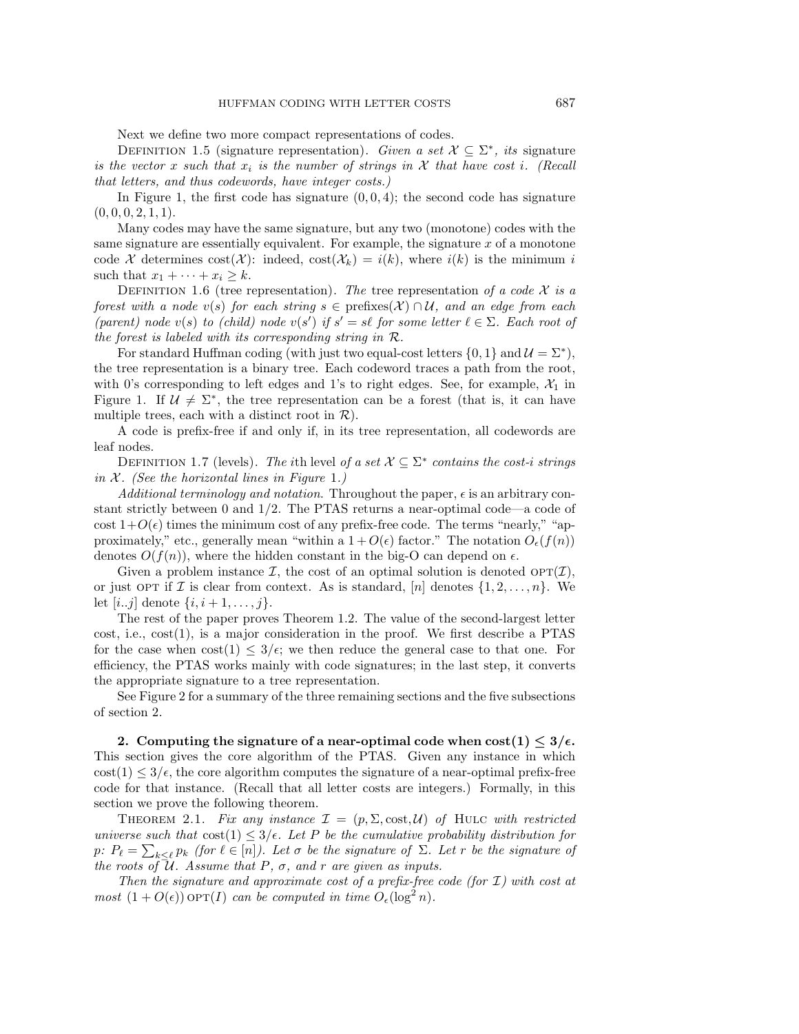Next we define two more compact representations of codes.

DEFINITION 1.5 (signature representation). *Given a set*  $X \subseteq \Sigma^*$ , *its* signature *is the vector* x *such that*  $x_i$  *is the number of strings in*  $\mathcal X$  *that have cost i. (Recall that letters, and thus codewords, have integer costs.)*

In Figure 1, the first code has signature  $(0, 0, 4)$ ; the second code has signature  $(0, 0, 0, 2, 1, 1).$ 

Many codes may have the same signature, but any two (monotone) codes with the same signature are essentially equivalent. For example, the signature  $x$  of a monotone code X determines  $\text{cost}(\mathcal{X})$ : indeed,  $\text{cost}(\mathcal{X}_k) = i(k)$ , where  $i(k)$  is the minimum i such that  $x_1 + \cdots + x_i \geq k$ .

DEFINITION 1.6 (tree representation). *The* tree representation of a code  $\mathcal{X}$  is a *forest with a node*  $v(s)$  *for each string*  $s \in \text{prefix}(X) \cap U$ *, and an edge from each* (parent) node  $v(s)$  to (child) node  $v(s')$  if  $s' = s\ell$  for some letter  $\ell \in \Sigma$ . Each root of *the forest is labeled with its corresponding string in* R*.*

For standard Huffman coding (with just two equal-cost letters  $\{0, 1\}$  and  $\mathcal{U} = \Sigma^*$ ), the tree representation is a binary tree. Each codeword traces a path from the root, with 0's corresponding to left edges and 1's to right edges. See, for example,  $\mathcal{X}_1$  in Figure 1. If  $\mathcal{U} \neq \Sigma^*$ , the tree representation can be a forest (that is, it can have multiple trees, each with a distinct root in  $\mathcal{R}$ ).

A code is prefix-free if and only if, in its tree representation, all codewords are leaf nodes.

DEFINITION 1.7 (levels). *The i*th level *of a set*  $\mathcal{X} \subseteq \Sigma^*$  *contains the cost-i strings in* X*. (See the horizontal lines in Figure* 1*.)*

*Additional terminology and notation*. Throughout the paper,  $\epsilon$  is an arbitrary constant strictly between 0 and 1/2. The PTAS returns a near-optimal code—a code of cost  $1+O(\epsilon)$  times the minimum cost of any prefix-free code. The terms "nearly," "approximately," etc., generally mean "within a  $1 + O(\epsilon)$  factor." The notation  $O_{\epsilon}(f(n))$ denotes  $O(f(n))$ , where the hidden constant in the big-O can depend on  $\epsilon$ .

Given a problem instance  $\mathcal{I}$ , the cost of an optimal solution is denoted  $\text{OPT}(\mathcal{I})$ , or just OPT if I is clear from context. As is standard, [n] denotes  $\{1, 2, ..., n\}$ . We let  $[i..j]$  denote  $\{i, i+1, ..., j\}$ .

The rest of the paper proves Theorem 1.2. The value of the second-largest letter  $cost$ , i.e.,  $cost(1)$ , is a major consideration in the proof. We first describe a PTAS for the case when  $\text{cost}(1) \leq 3/\epsilon$ ; we then reduce the general case to that one. For efficiency, the PTAS works mainly with code signatures; in the last step, it converts the appropriate signature to a tree representation.

See Figure 2 for a summary of the three remaining sections and the five subsections of section 2.

**2.** Computing the signature of a near-optimal code when  $\text{cost}(1) \leq 3/\epsilon$ . This section gives the core algorithm of the PTAS. Given any instance in which  $\text{cost}(1) \leq 3/\epsilon$ , the core algorithm computes the signature of a near-optimal prefix-free code for that instance. (Recall that all letter costs are integers.) Formally, in this section we prove the following theorem.

THEOREM 2.1. Fix any instance  $\mathcal{I} = (p, \Sigma, \text{cost}, \mathcal{U})$  of HULC with restricted *universe such that*  $\cos(1) \leq 3/\epsilon$ . Let P be the cumulative probability distribution for p:  $P_{\ell} = \sum_{k \leq \ell} p_k$  *(for*  $\ell \in [n]$ *). Let*  $\sigma$  *be the signature of*  $\Sigma$ *. Let*  $r$  *be the signature of the roots of*  $\overline{\mathcal{U}}$ *. Assume that*  $P$ *,*  $\sigma$ *, and*  $r$  *are given as inputs.* 

*Then the signature and approximate cost of a prefix-free code (for* I*) with cost at most*  $(1 + O(\epsilon))$  op $T(I)$  *can be computed in time*  $O_{\epsilon}(\log^2 n)$ *.*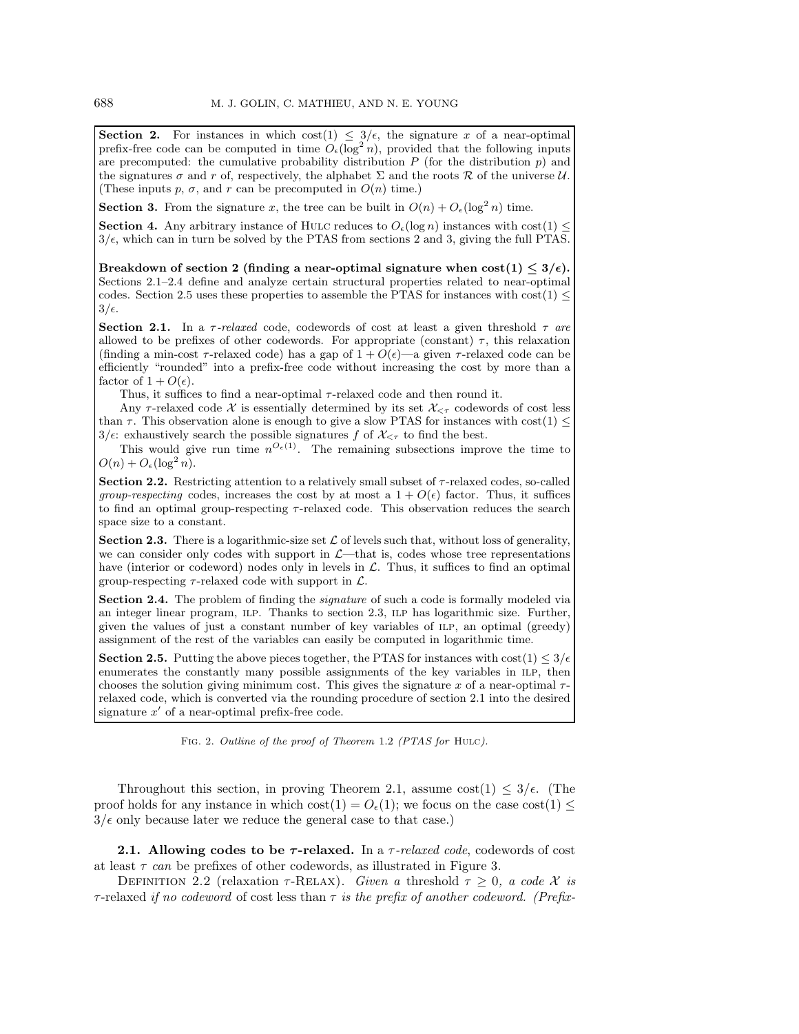**Section 2.** For instances in which  $\cos(1) \leq 3/\epsilon$ , the signature x of a near-optimal prefix-free code can be computed in time  $O_{\epsilon}(\log^2 n)$ , provided that the following inputs are precomputed: the cumulative probability distribution  $P$  (for the distribution  $p$ ) and the signatures  $\sigma$  and r of, respectively, the alphabet  $\Sigma$  and the roots  $\mathcal R$  of the universe  $\mathcal U$ . (These inputs p,  $\sigma$ , and r can be precomputed in  $O(n)$  time.)

**Section 3.** From the signature x, the tree can be built in  $O(n) + O_{\epsilon}(\log^2 n)$  time.

**Section 4.** Any arbitrary instance of HULC reduces to  $O_{\epsilon}(\log n)$  instances with cost $(1) \leq$  $3/\epsilon$ , which can in turn be solved by the PTAS from sections 2 and 3, giving the full PTAS.

 $\text{Breakdown of section 2 (finding a near-optimal signature when  $\text{cost}(1) \leq 3/\epsilon$ ).$ Sections 2.1–2.4 define and analyze certain structural properties related to near-optimal codes. Section 2.5 uses these properties to assemble the PTAS for instances with  $cost(1) \le$  $3/\epsilon.$ 

**Section 2.1.** In a  $\tau$ -relaxed code, codewords of cost at least a given threshold  $\tau$  are allowed to be prefixes of other codewords. For appropriate (constant)  $\tau$ , this relaxation (finding a min-cost  $\tau$ -relaxed code) has a gap of  $1 + O(\epsilon)$ —a given  $\tau$ -relaxed code can be efficiently "rounded" into a prefix-free code without increasing the cost by more than a factor of  $1 + O(\epsilon)$ .

Thus, it suffices to find a near-optimal  $\tau$ -relaxed code and then round it.

Any  $\tau$ -relaxed code X is essentially determined by its set  $\mathcal{X}_{\leq \tau}$  codewords of cost less than  $\tau$ . This observation alone is enough to give a slow PTAS for instances with cost(1)  $\leq$  $3/\epsilon$ : exhaustively search the possible signatures f of  $\mathcal{X}_{\leq \tau}$  to find the best.

This would give run time  $n^{O_{\epsilon}(1)}$ . The remaining subsections improve the time to  $O(n) + O_{\epsilon}(\log^2 n).$ 

**Section 2.2.** Restricting attention to a relatively small subset of  $\tau$ -relaxed codes, so-called *group-respecting* codes, increases the cost by at most a  $1 + O(\epsilon)$  factor. Thus, it suffices to find an optimal group-respecting  $\tau$ -relaxed code. This observation reduces the search space size to a constant.

**Section 2.3.** There is a logarithmic-size set  $\mathcal{L}$  of levels such that, without loss of generality, we can consider only codes with support in  $\mathcal{L}$ —that is, codes whose tree representations have (interior or codeword) nodes only in levels in  $\mathcal{L}$ . Thus, it suffices to find an optimal group-respecting  $\tau$ -relaxed code with support in  $\mathcal{L}$ .

**Section 2.4.** The problem of finding the *signature* of such a code is formally modeled via an integer linear program, ilp. Thanks to section 2.3, ilp has logarithmic size. Further, given the values of just a constant number of key variables of ilp, an optimal (greedy) assignment of the rest of the variables can easily be computed in logarithmic time.

**Section 2.5.** Putting the above pieces together, the PTAS for instances with  $\text{cost}(1) \leq 3/\epsilon$ enumerates the constantly many possible assignments of the key variables in ILP, then chooses the solution giving minimum cost. This gives the signature x of a near-optimal  $\tau$ relaxed code, which is converted via the rounding procedure of section 2.1 into the desired signature  $x'$  of a near-optimal prefix-free code.

FIG. 2. Outline of the proof of Theorem 1.2 (PTAS for HULC).

Throughout this section, in proving Theorem 2.1, assume  $\text{cost}(1) \leq 3/\epsilon$ . (The proof holds for any instance in which  $\text{cost}(1) = O_{\epsilon}(1)$ ; we focus on the case  $\text{cost}(1) \le$  $3/\epsilon$  only because later we reduce the general case to that case.)

**2.1. Allowing codes to be** *τ* **-relaxed.** In a τ*-relaxed code*, codewords of cost at least  $\tau$  *can* be prefixes of other codewords, as illustrated in Figure 3.

DEFINITION 2.2 (relaxation  $\tau$ -RELAX). *Given a* threshold  $\tau \geq 0$ , *a code* X *is* τ-relaxed *if no codeword* of cost less than τ *is the prefix of another codeword. (Prefix-*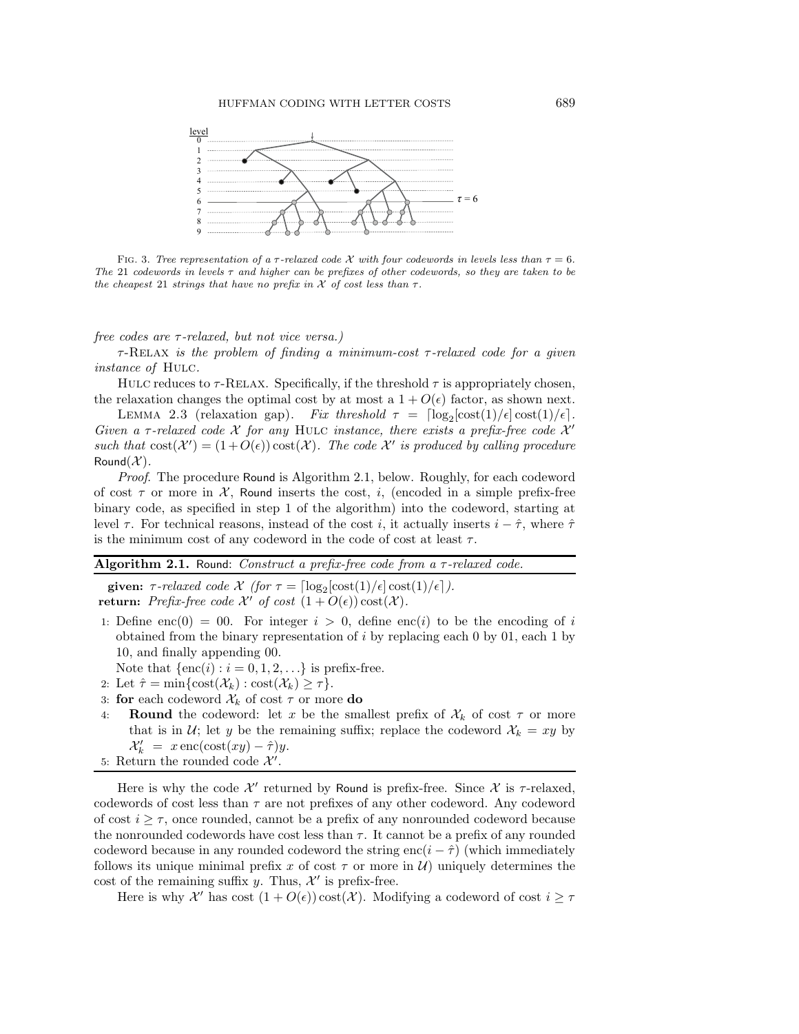

FIG. 3. Tree representation of a  $\tau$ -relaxed code X with four codewords in levels less than  $\tau = 6$ . The 21 codewords in levels  $\tau$  and higher can be prefixes of other codewords, so they are taken to be the cheapest 21 strings that have no prefix in  $\mathcal X$  of cost less than  $\tau$ .

*free codes are* τ*-relaxed, but not vice versa.)*

τ-Relax *is the problem of finding a minimum-cost* τ*-relaxed code for a given instance of* Hulc*.*

HULC reduces to  $\tau$ -RELAX. Specifically, if the threshold  $\tau$  is appropriately chosen, the relaxation changes the optimal cost by at most a  $1 + O(\epsilon)$  factor, as shown next.

LEMMA 2.3 (relaxation gap). *Fix threshold*  $\tau = \left[ \log_2[\cot(1)/\epsilon] \cosh(1)/\epsilon \right]$ . *Given a*  $\tau$ -relaxed code  $\mathcal{X}$  for any HULC *instance, there exists a prefix-free code*  $\mathcal{X}'$ such that  $\text{cost}(\mathcal{X}') = (1 + O(\epsilon)) \text{cost}(\mathcal{X})$ . The code  $\mathcal{X}'$  is produced by calling procedure Round $(\mathcal{X})$ .

*Proof*. The procedure Round is Algorithm 2.1, below. Roughly, for each codeword of cost  $\tau$  or more in X, Round inserts the cost, i, (encoded in a simple prefix-free binary code, as specified in step 1 of the algorithm) into the codeword, starting at level  $\tau$ . For technical reasons, instead of the cost *i*, it actually inserts  $i - \hat{\tau}$ , where  $\hat{\tau}$ is the minimum cost of any codeword in the code of cost at least  $\tau$ .

| Algorithm 2.1. Round: Construct a prefix-free code from a $\tau$ -relaxed code. |  |  |  |  |
|---------------------------------------------------------------------------------|--|--|--|--|
|---------------------------------------------------------------------------------|--|--|--|--|

**given:**  $\tau$ -relaxed code  $\mathcal{X}$  (for  $\tau = \left[ \log_2[\text{cost}(1)/\epsilon] \cos\left(\frac{1}{\epsilon}\right) / \epsilon \right]$ ). **return:** *Prefix-free code*  $\mathcal{X}'$  *of cost*  $(1 + O(\epsilon)) \cos(\mathcal{X})$ *.* 

- 1: Define enc(0) = 00. For integer  $i > 0$ , define enc(i) to be the encoding of i obtained from the binary representation of  $i$  by replacing each 0 by 01, each 1 by 10, and finally appending 00.
- Note that  $\{\text{enc}(i) : i = 0, 1, 2, \ldots\}$  is prefix-free.
- 2: Let  $\hat{\tau} = \min\{\text{cost}(\mathcal{X}_k) : \text{cost}(\mathcal{X}_k) \geq \tau\}.$
- 3: **for** each codeword  $\mathcal{X}_k$  of cost  $\tau$  or more **do**
- 4: **Round** the codeword: let x be the smallest prefix of  $\mathcal{X}_k$  of cost  $\tau$  or more that is in  $U$ ; let y be the remaining suffix; replace the codeword  $X_k = xy$  by  $\mathcal{X}'_k = x \operatorname{enc}(\operatorname{cost}(xy) - \hat{\tau})y.$
- 5: Return the rounded code  $\mathcal{X}'$ .

Here is why the code  $\mathcal{X}'$  returned by Round is prefix-free. Since  $\mathcal{X}$  is  $\tau$ -relaxed, codewords of cost less than  $\tau$  are not prefixes of any other codeword. Any codeword of cost  $i \geq \tau$ , once rounded, cannot be a prefix of any nonrounded codeword because the nonrounded codewords have cost less than  $\tau$ . It cannot be a prefix of any rounded codeword because in any rounded codeword the string enc( $i - \hat{\tau}$ ) (which immediately follows its unique minimal prefix x of cost  $\tau$  or more in  $\mathcal{U}$ ) uniquely determines the cost of the remaining suffix y. Thus,  $\mathcal{X}'$  is prefix-free.

Here is why  $\mathcal{X}'$  has cost  $(1 + O(\epsilon)) \cos(\mathcal{X})$ . Modifying a codeword of cost  $i \geq \tau$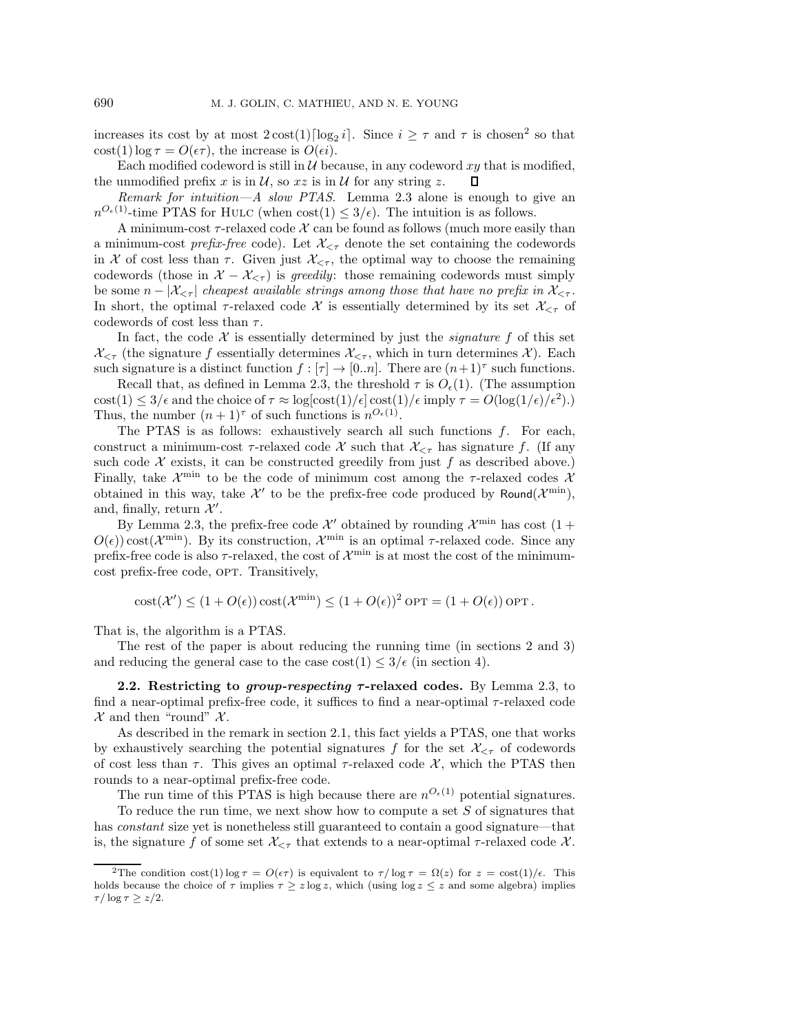increases its cost by at most  $2 \cot(1) \log_2 i$ . Since  $i \geq \tau$  and  $\tau$  is chosen<sup>2</sup> so that  $\cot(1) \log \tau = O(\epsilon \tau)$ , the increase is  $O(\epsilon i)$ .

Each modified codeword is still in  $\mathcal U$  because, in any codeword xy that is modified, the unmodified prefix x is in  $\mathcal{U}$ , so x is in  $\mathcal{U}$  for any string z. Π

*Remark for intuition—A slow PTAS*. Lemma 2.3 alone is enough to give an  $n^{O_{\epsilon}(1)}$ -time PTAS for HULC (when  $cost(1) \leq 3/\epsilon$ ). The intuition is as follows.

A minimum-cost  $\tau$ -relaxed code  $\mathcal X$  can be found as follows (much more easily than a minimum-cost *prefix-free* code). Let  $\mathcal{X}_{\leq \tau}$  denote the set containing the codewords in X of cost less than  $\tau$ . Given just  $\mathcal{X}_{\leq \tau}$ , the optimal way to choose the remaining codewords (those in  $X - X_{\leq \tau}$ ) is *greedily*: those remaining codewords must simply be some  $n - |\mathcal{X}_{\leq \tau}|$  *cheapest available strings among those that have no prefix in*  $\mathcal{X}_{\leq \tau}$ . In short, the optimal  $\tau$ -relaxed code X is essentially determined by its set  $\mathcal{X}_{\leq \tau}$  of codewords of cost less than  $\tau$ .

In fact, the code  $X$  is essentially determined by just the *signature*  $f$  of this set  $\mathcal{X}_{\leq \tau}$  (the signature f essentially determines  $\mathcal{X}_{\leq \tau}$ , which in turn determines  $\mathcal{X}$ ). Each such signature is a distinct function  $f : [\tau] \to [0..n]$ . There are  $(n+1)^\tau$  such functions.

Recall that, as defined in Lemma 2.3, the threshold  $\tau$  is  $O_{\epsilon}(1)$ . (The assumption  $\text{cost}(1) \leq 3/\epsilon$  and the choice of  $\tau \approx \log[\text{cost}(1)/\epsilon] \text{cost}(1)/\epsilon$  imply  $\tau = O(\log(1/\epsilon)/\epsilon^2)$ . Thus, the number  $(n+1)^\tau$  of such functions is  $n^{O_{\epsilon}(1)}$ .

The PTAS is as follows: exhaustively search all such functions  $f$ . For each, construct a minimum-cost  $\tau$ -relaxed code X such that  $\mathcal{X}_{\leq \tau}$  has signature f. (If any such code  $X$  exists, it can be constructed greedily from just f as described above.) Finally, take  $\mathcal{X}^{\min}$  to be the code of minimum cost among the  $\tau$ -relaxed codes  $\mathcal{X}$ obtained in this way, take  $\mathcal{X}'$  to be the prefix-free code produced by Round( $\mathcal{X}^{\min}$ ), and, finally, return  $\mathcal{X}'$ .

By Lemma 2.3, the prefix-free code  $\mathcal{X}'$  obtained by rounding  $\mathcal{X}^{\min}$  has cost  $(1 +$  $O(\epsilon)$ ) cost( $\mathcal{X}^{\min}$ ). By its construction,  $\mathcal{X}^{\min}$  is an optimal  $\tau$ -relaxed code. Since any prefix-free code is also  $\tau$ -relaxed, the cost of  $\mathcal{X}^{\min}$  is at most the cost of the minimumcost prefix-free code, OPT. Transitively,

$$
cost(\mathcal{X}') \le (1 + O(\epsilon)) cost(\mathcal{X}^{\min}) \le (1 + O(\epsilon))^2 OPT = (1 + O(\epsilon)) OPT.
$$

That is, the algorithm is a PTAS.

The rest of the paper is about reducing the running time (in sections 2 and 3) and reducing the general case to the case  $\text{cost}(1) \leq 3/\epsilon$  (in section 4).

**2.2. Restricting to** *group-respecting <sup>τ</sup>* **-relaxed codes.** By Lemma 2.3, to find a near-optimal prefix-free code, it suffices to find a near-optimal  $\tau$ -relaxed code  $\mathcal X$  and then "round"  $\mathcal X$ .

As described in the remark in section 2.1, this fact yields a PTAS, one that works by exhaustively searching the potential signatures f for the set  $\mathcal{X}_{\leq \tau}$  of codewords of cost less than  $\tau$ . This gives an optimal  $\tau$ -relaxed code X, which the PTAS then rounds to a near-optimal prefix-free code.

The run time of this PTAS is high because there are  $n^{O_{\epsilon}(1)}$  potential signatures.

To reduce the run time, we next show how to compute a set  $S$  of signatures that has *constant* size yet is nonetheless still guaranteed to contain a good signature—that is, the signature f of some set  $\mathcal{X}_{\leq \tau}$  that extends to a near-optimal  $\tau$ -relaxed code  $\mathcal{X}$ .

<sup>&</sup>lt;sup>2</sup>The condition cost(1) log  $\tau = O(\epsilon \tau)$  is equivalent to  $\tau / \log \tau = \Omega(z)$  for  $z = \cos(1)/\epsilon$ . This holds because the choice of  $\tau$  implies  $\tau \geq z \log z$ , which (using  $\log z \leq z$  and some algebra) implies  $\tau/\log\tau \geq z/2$ .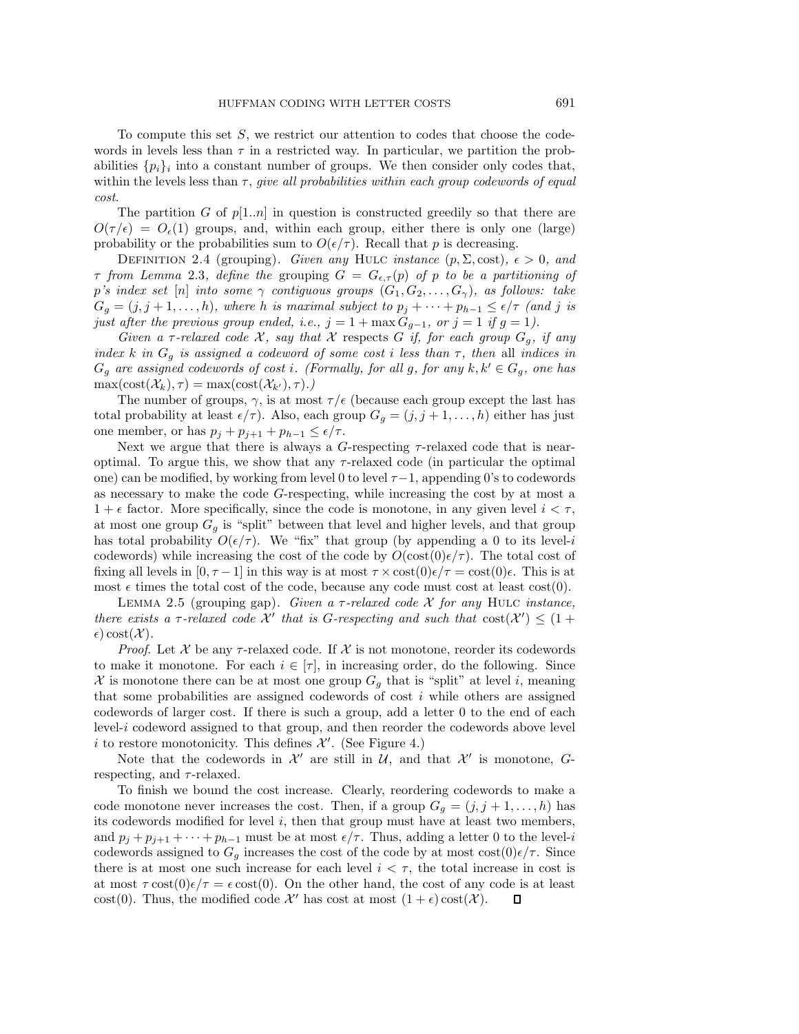To compute this set  $S$ , we restrict our attention to codes that choose the codewords in levels less than  $\tau$  in a restricted way. In particular, we partition the probabilities  $\{p_i\}_i$  into a constant number of groups. We then consider only codes that, within the levels less than τ, *give all probabilities within each group codewords of equal cost*.

The partition G of  $p[1..n]$  in question is constructed greedily so that there are  $O(\tau/\epsilon) = O_{\epsilon}(1)$  groups, and, within each group, either there is only one (large) probability or the probabilities sum to  $O(\epsilon/\tau)$ . Recall that p is decreasing.

DEFINITION 2.4 (grouping). *Given any* HULC *instance*  $(p, \Sigma, \text{cost})$ ,  $\epsilon > 0$ , and  $\tau$  from Lemma 2.3, define the grouping  $G = G_{\epsilon,\tau}(p)$  of p to be a partitioning of p's index set [n] into some  $\gamma$  contiguous groups  $(G_1, G_2, \ldots, G_{\gamma})$ , as follows: take  $G_g = (j, j + 1, \ldots, h)$ *, where* h *is maximal subject to*  $p_j + \cdots + p_{h-1} \leq \epsilon/\tau$  (and j *is just after the previous group ended, i.e.,*  $j = 1 + \max G_{g-1}$ , or  $j = 1$  if  $g = 1$ ).

*Given a*  $\tau$ -relaxed code  $\mathcal{X}$ , say that  $\mathcal{X}$  respects G if, for each group  $G_g$ , if any *index* k *in*  $G_g$  *is assigned a codeword of some cost i less than*  $\tau$ *, then* all *indices in*  $G_g$  are assigned codewords of cost *i*. (Formally, for all g, for any  $k, k' \in G_g$ , one has  $\max(\mathrm{cost}(\mathcal{X}_k), \tau) = \max(\mathrm{cost}(\mathcal{X}_{k'}), \tau)$ .)

The number of groups,  $\gamma$ , is at most  $\tau/\epsilon$  (because each group except the last has total probability at least  $\epsilon/\tau$ ). Also, each group  $G_g = (j, j + 1, \ldots, h)$  either has just one member, or has  $p_j + p_{j+1} + p_{h-1} \leq \epsilon/\tau$ .

Next we argue that there is always a G-respecting  $\tau$ -relaxed code that is nearoptimal. To argue this, we show that any  $\tau$ -relaxed code (in particular the optimal one) can be modified, by working from level 0 to level  $\tau-1$ , appending 0's to codewords as necessary to make the code G-respecting, while increasing the cost by at most a  $1 + \epsilon$  factor. More specifically, since the code is monotone, in any given level  $i < \tau$ , at most one group  $G_q$  is "split" between that level and higher levels, and that group has total probability  $O(\epsilon/\tau)$ . We "fix" that group (by appending a 0 to its level-i codewords) while increasing the cost of the code by  $O(\cos(0)\epsilon/\tau)$ . The total cost of fixing all levels in  $[0, \tau-1]$  in this way is at most  $\tau \times \cot(0)\epsilon/\tau = \cot(0)\epsilon$ . This is at most  $\epsilon$  times the total cost of the code, because any code must cost at least cost(0).

Lemma 2.5 (grouping gap). *Given a* τ*-relaxed code* X *for any* Hulc *instance, there exists a*  $\tau$ -relaxed code  $\mathcal{X}'$  that is G-respecting and such that  $\cos(\mathcal{X}') \leq (1 +$  $\epsilon)$  cost $(\mathcal{X})$ .

*Proof.* Let X be any  $\tau$ -relaxed code. If X is not monotone, reorder its codewords to make it monotone. For each  $i \in [\tau]$ , in increasing order, do the following. Since  $\mathcal X$  is monotone there can be at most one group  $G_g$  that is "split" at level i, meaning that some probabilities are assigned codewords of cost  $i$  while others are assigned codewords of larger cost. If there is such a group, add a letter 0 to the end of each level-i codeword assigned to that group, and then reorder the codewords above level i to restore monotonicity. This defines  $\mathcal{X}'$ . (See Figure 4.)

Note that the codewords in  $\mathcal{X}'$  are still in  $\mathcal{U}$ , and that  $\mathcal{X}'$  is monotone,  $G$ respecting, and  $\tau$ -relaxed.

To finish we bound the cost increase. Clearly, reordering codewords to make a code monotone never increases the cost. Then, if a group  $G_q = (j, j+1, \ldots, h)$  has its codewords modified for level  $i$ , then that group must have at least two members, and  $p_j + p_{j+1} + \cdots + p_{h-1}$  must be at most  $\epsilon/\tau$ . Thus, adding a letter 0 to the level-i codewords assigned to  $G_g$  increases the cost of the code by at most cost $(0)\epsilon/\tau$ . Since there is at most one such increase for each level  $i < \tau$ , the total increase in cost is at most  $\tau \cot(0)\epsilon/\tau = \epsilon \cot(0)$ . On the other hand, the cost of any code is at least cost(0). Thus, the modified code  $\mathcal{X}'$  has cost at most  $(1 + \epsilon) \text{cost}(\mathcal{X})$ .  $\Box$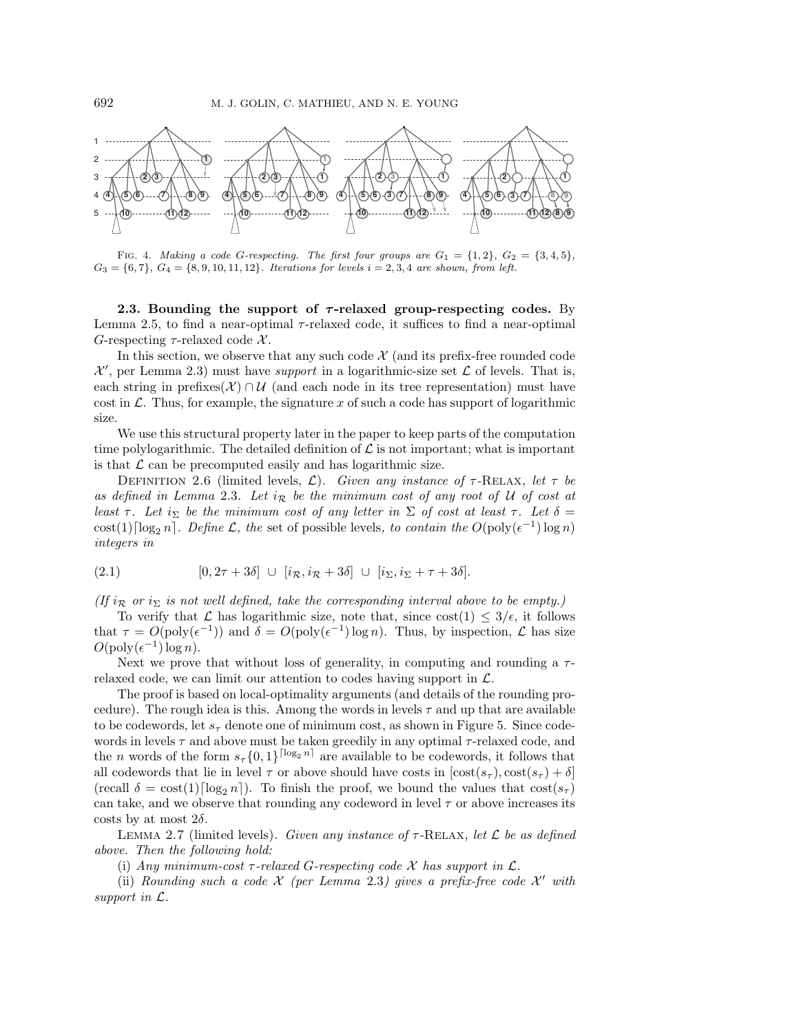

FIG. 4. Making a code G-respecting. The first four groups are  $G_1 = \{1, 2\}$ ,  $G_2 = \{3, 4, 5\}$ ,  $G_3 = \{6, 7\}, G_4 = \{8, 9, 10, 11, 12\}.$  Iterations for levels  $i = 2, 3, 4$  are shown, from left.

**2.3. Bounding the support of** *τ* **-relaxed group-respecting codes.** By Lemma 2.5, to find a near-optimal  $\tau$ -relaxed code, it suffices to find a near-optimal G-respecting  $\tau$ -relaxed code X.

In this section, we observe that any such code  $\mathcal{X}$  (and its prefix-free rounded code  $\mathcal{X}'$ , per Lemma 2.3) must have *support* in a logarithmic-size set  $\mathcal{L}$  of levels. That is, each string in prefixes( $\mathcal{X}$ ) ∩  $\mathcal{U}$  (and each node in its tree representation) must have cost in  $\mathcal{L}$ . Thus, for example, the signature x of such a code has support of logarithmic size.

We use this structural property later in the paper to keep parts of the computation time polylogarithmic. The detailed definition of  $\mathcal L$  is not important; what is important is that  $\mathcal L$  can be precomputed easily and has logarithmic size.

DEFINITION 2.6 (limited levels,  $\mathcal{L}$ ). *Given any instance of*  $\tau$ -RELAX, let  $\tau$  be as defined in Lemma 2.3*.* Let  $i_R$  be the minimum cost of any root of U of cost at *least*  $\tau$ *. Let*  $i_{\Sigma}$  *be the minimum cost of any letter in*  $\Sigma$  *of cost at least*  $\tau$ *. Let*  $\delta$  = cost(1)[ $\log_2 n$ ]. *Define*  $\mathcal{L}$ *, the* set of possible levels*, to contain the*  $O(\text{poly}(\epsilon^{-1}) \log n)$ *integers in*

(2.1) 
$$
[0, 2\tau + 3\delta] \cup [i_{\mathcal{R}}, i_{\mathcal{R}} + 3\delta] \cup [i_{\Sigma}, i_{\Sigma} + \tau + 3\delta].
$$

*(If*  $i_{\mathcal{R}}$  *or*  $i_{\Sigma}$  *is not well defined, take the corresponding interval above to be empty.)* 

To verify that  $\mathcal L$  has logarithmic size, note that, since  $\cot(1) \leq 3/\epsilon$ , it follows that  $\tau = O(\text{poly}(\epsilon^{-1}))$  and  $\delta = O(\text{poly}(\epsilon^{-1}) \log n)$ . Thus, by inspection,  $\mathcal L$  has size  $O(\text{poly}(\epsilon^{-1})\log n)$ .

Next we prove that without loss of generality, in computing and rounding a  $\tau$ relaxed code, we can limit our attention to codes having support in  $\mathcal{L}$ .

The proof is based on local-optimality arguments (and details of the rounding procedure). The rough idea is this. Among the words in levels  $\tau$  and up that are available to be codewords, let  $s_{\tau}$  denote one of minimum cost, as shown in Figure 5. Since codewords in levels  $\tau$  and above must be taken greedily in any optimal  $\tau$ -relaxed code, and the n words of the form  $s_{\tau} \{0,1\}^{\lceil \log_2 n \rceil}$  are available to be codewords, it follows that all codewords that lie in level  $\tau$  or above should have costs in  $[\text{cost}(s_{\tau}), \text{cost}(s_{\tau}) + \delta]$ (recall  $\delta = \cos(1) [\log_2 n]$ ). To finish the proof, we bound the values that  $\cos(s_\tau)$ can take, and we observe that rounding any codeword in level  $\tau$  or above increases its costs by at most  $2\delta$ .

Lemma 2.7 (limited levels). *Given any instance of* τ*-*Relax*, let* L *be as defined above. Then the following hold:*

(i) *Any minimum-cost*  $\tau$ -relaxed *G*-respecting code  $\mathcal X$  has support in  $\mathcal L$ .

(ii) *Rounding such a code*  $X$  *(per Lemma 2.3) gives a prefix-free code*  $X'$  *with support in* L*.*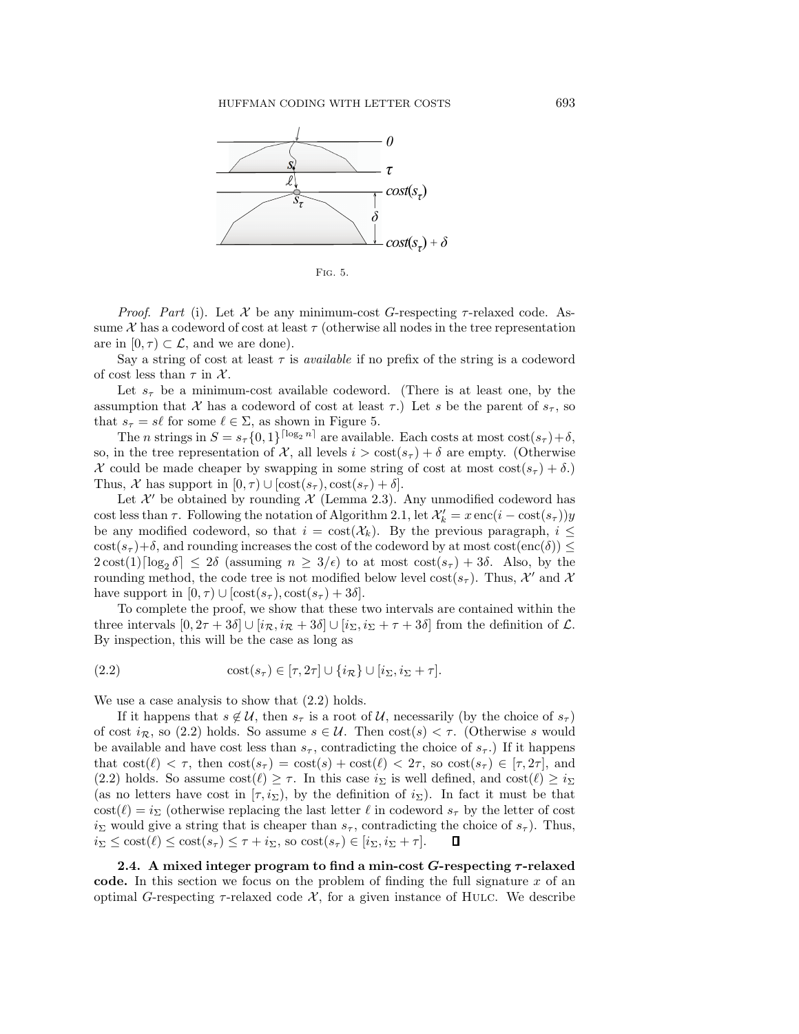

Fig. 5.

*Proof.* Part (i). Let X be any minimum-cost G-respecting  $\tau$ -relaxed code. Assume X has a codeword of cost at least  $\tau$  (otherwise all nodes in the tree representation are in  $[0, \tau) \subset \mathcal{L}$ , and we are done).

Say a string of cost at least  $\tau$  is *available* if no prefix of the string is a codeword of cost less than  $\tau$  in X.

Let  $s_{\tau}$  be a minimum-cost available codeword. (There is at least one, by the assumption that X has a codeword of cost at least  $\tau$ .) Let s be the parent of  $s_{\tau}$ , so that  $s_{\tau} = s\ell$  for some  $\ell \in \Sigma$ , as shown in Figure 5.

The n strings in  $S = s<sub>\tau</sub> \{0, 1\}^{\lceil \log_2 n \rceil}$  are available. Each costs at most  $\cos(s_{\tau}) + \delta$ , so, in the tree representation of  $\mathcal{X}$ , all levels  $i > \text{cost}(s_{\tau}) + \delta$  are empty. (Otherwise X could be made cheaper by swapping in some string of cost at most  $\cos(s_{\tau}) + \delta$ . Thus,  $\mathcal X$  has support in  $[0, \tau) \cup [\text{cost}(s_{\tau}), \text{cost}(s_{\tau}) + \delta].$ 

Let  $\mathcal{X}'$  be obtained by rounding  $\mathcal X$  (Lemma 2.3). Any unmodified codeword has cost less than  $\tau$ . Following the notation of Algorithm 2.1, let  $\mathcal{X}'_k = x \, \text{enc}(i - \text{cost}(s_\tau))y$ be any modified codeword, so that  $i = \text{cost}(\mathcal{X}_k)$ . By the previous paragraph,  $i \leq$  $\cot(s_\tau)+\delta$ , and rounding increases the cost of the codeword by at most  $\cot(\epsilon_0) \leq$  $2\cot(1)\log_2 \delta \leq 2\delta$  (assuming  $n \geq 3/\epsilon$ ) to at most  $\cot(s_\tau) + 3\delta$ . Also, by the rounding mothod, the gode tree is not modified below level  $\cot(s_\tau)$ . Thus,  $\mathcal{V}'$  and  $\mathcal{V}'$ rounding method, the code tree is not modified below level cost( $s<sub>\tau</sub>$ ). Thus,  $\mathcal{X}'$  and  $\mathcal{X}$ have support in  $[0, \tau) \cup [\text{cost}(s_\tau), \text{cost}(s_\tau) + 3\delta].$ 

To complete the proof, we show that these two intervals are contained within the three intervals  $[0, 2\tau + 3\delta] \cup [i_{\mathcal{R}}, i_{\mathcal{R}} + 3\delta] \cup [i_{\Sigma}, i_{\Sigma} + \tau + 3\delta]$  from the definition of  $\mathcal{L}$ . By inspection, this will be the case as long as

(2.2) 
$$
\text{cost}(s_{\tau}) \in [\tau, 2\tau] \cup \{i_{\mathcal{R}}\} \cup [i_{\Sigma}, i_{\Sigma} + \tau].
$$

We use a case analysis to show that  $(2.2)$  holds.

If it happens that  $s \notin \mathcal{U}$ , then  $s_{\tau}$  is a root of  $\mathcal{U}$ , necessarily (by the choice of  $s_{\tau}$ ) of cost  $i_{\mathcal{R}}$ , so (2.2) holds. So assume  $s \in \mathcal{U}$ . Then  $\text{cost}(s) < \tau$ . (Otherwise s would be available and have cost less than  $s_{\tau}$ , contradicting the choice of  $s_{\tau}$ .) If it happens that  $\text{cost}(\ell) < \tau$ , then  $\text{cost}(s_{\tau}) = \text{cost}(s) + \text{cost}(\ell) < 2\tau$ , so  $\text{cost}(s_{\tau}) \in [\tau, 2\tau]$ , and (2.2) holds. So assume  $\text{cost}(\ell) \geq \tau$ . In this case  $i_{\Sigma}$  is well defined, and  $\text{cost}(\ell) \geq i_{\Sigma}$ (as no letters have cost in  $[\tau, i_{\Sigma})$ , by the definition of  $i_{\Sigma}$ ). In fact it must be that  $\cos(t) = i\gamma$  (otherwise replacing the last letter  $\ell$  in codeword  $s_\tau$  by the letter of cost in mould give a string that is choosen than a contradiction the choice of a). Thus  $i_{\Sigma}$  would give a string that is cheaper than  $s_{\tau}$ , contradicting the choice of  $s_{\tau}$ ). Thus,<br> $i_{\Sigma} \le \text{cost}(\ell) \le \text{cost}(s_{\tau}) \le \tau + i_{\Sigma}$ , so  $\text{cost}(s_{\tau}) \in [i_{\Sigma}, i_{\Sigma} + \tau]$ .  $\Box$  $i_{\Sigma} \le \text{cost}(\ell) \le \text{cost}(s_{\tau}) \le \tau + i_{\Sigma}, \text{ so } \text{cost}(s_{\tau}) \in [i_{\Sigma}, i_{\Sigma} + \tau].$ 

**2.4. A mixed integer program to find a min-cost** *G***-respecting** *τ* **-relaxed code.** In this section we focus on the problem of finding the full signature x of an optimal G-respecting  $\tau$ -relaxed code  $\mathcal{X}$ , for a given instance of HULC. We describe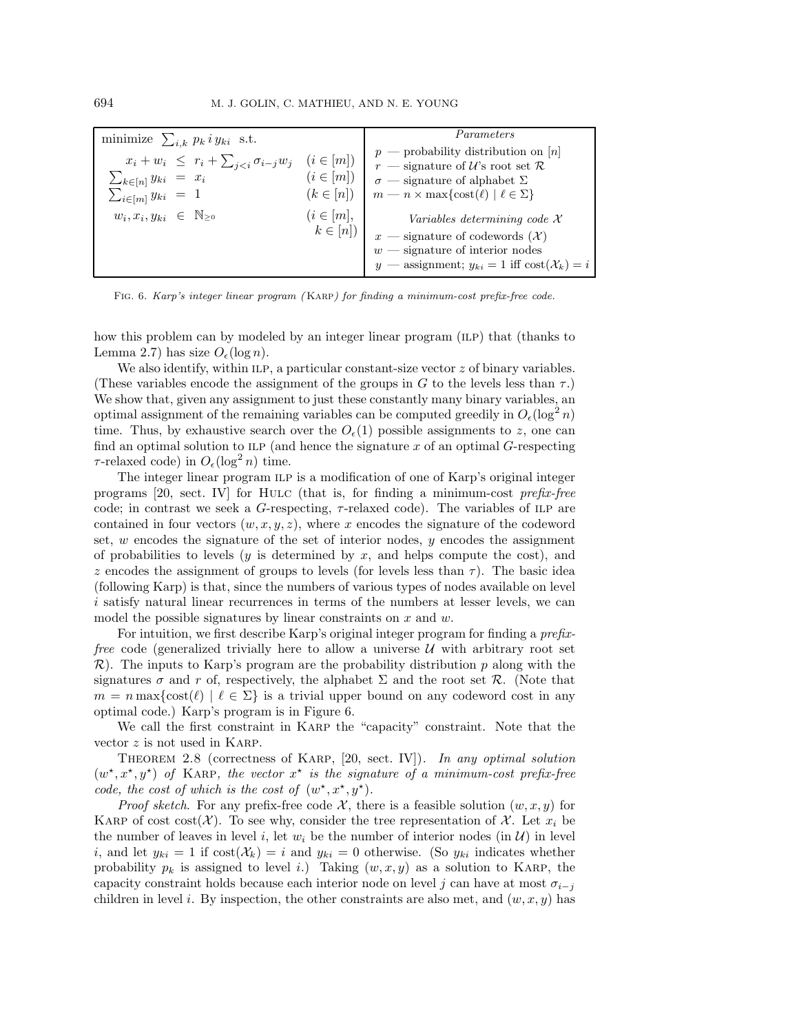| minimize $\sum_{i,k} p_k i y_{ki}$ s.t.                                                                                                |                                | Parameters                                                                                                                                                                                                                                         |
|----------------------------------------------------------------------------------------------------------------------------------------|--------------------------------|----------------------------------------------------------------------------------------------------------------------------------------------------------------------------------------------------------------------------------------------------|
| $x_i + w_i \leq r_i + \sum_{j < i} \sigma_{i-j} w_j \quad (i \in [m])$<br>$\sum_{k\in[n]} y_{ki} = x_i$<br>$\sum_{i\in[m]} y_{ki} = 1$ | $(i \in [m])$<br>$(k \in [n])$ | $p$ — probability distribution on [n]<br>$r$ — signature of U's root set R<br>$\sigma$ — signature of alphabet $\Sigma$<br>$m - n \times \max\{\text{cost}(\ell) \mid \ell \in \Sigma\}$                                                           |
| $w_i, x_i, y_{ki} \in \mathbb{N}_{\geq 0}$                                                                                             | $(i \in [m],$                  | Variables determining code $\mathcal X$<br>$k \in [n]$ $\begin{array}{c} x \text{ -- signature of codewords } (\mathcal{X}) \\ w \text{ -- signature of interior nodes} \end{array}$<br>y — assignment; $y_{ki} = 1$ iff $cost(\mathcal{X}_k) = i$ |

Fig. 6. Karp's integer linear program ( Karp) for finding a minimum-cost prefix-free code.

how this problem can by modeled by an integer linear program (ILP) that (thanks to Lemma 2.7) has size  $O_{\epsilon}(\log n)$ .

We also identify, within ILP, a particular constant-size vector  $z$  of binary variables. (These variables encode the assignment of the groups in G to the levels less than  $\tau$ .) We show that, given any assignment to just these constantly many binary variables, an optimal assignment of the remaining variables can be computed greedily in  $O_{\epsilon}(\log^2 n)$ time. Thus, by exhaustive search over the  $O_{\epsilon}(1)$  possible assignments to z, one can find an optimal solution to ILP (and hence the signature  $x$  of an optimal  $G$ -respecting  $\tau$ -relaxed code) in  $O_{\epsilon}(\log^2 n)$  time.

The integer linear program ILP is a modification of one of Karp's original integer programs [20, sect. IV] for Hulc (that is, for finding a minimum-cost *prefix-free* code; in contrast we seek a  $G$ -respecting,  $\tau$ -relaxed code). The variables of ILP are contained in four vectors  $(w, x, y, z)$ , where x encodes the signature of the codeword set,  $w$  encodes the signature of the set of interior nodes,  $y$  encodes the assignment of probabilities to levels  $(y$  is determined by  $x$ , and helps compute the cost), and z encodes the assignment of groups to levels (for levels less than  $\tau$ ). The basic idea (following Karp) is that, since the numbers of various types of nodes available on level i satisfy natural linear recurrences in terms of the numbers at lesser levels, we can model the possible signatures by linear constraints on  $x$  and  $w$ .

For intuition, we first describe Karp's original integer program for finding a *prefixfree* code (generalized trivially here to allow a universe  $U$  with arbitrary root set  $\mathcal{R}$ ). The inputs to Karp's program are the probability distribution p along with the signatures  $\sigma$  and r of, respectively, the alphabet  $\Sigma$  and the root set  $\mathcal{R}$ . (Note that  $m = n \max\{\text{cost}(\ell) \mid \ell \in \Sigma\}$  is a trivial upper bound on any codeword cost in any optimal code.) Karp's program is in Figure 6.

We call the first constraint in Karp the "capacity" constraint. Note that the vector  $z$  is not used in KARP.

Theorem 2.8 (correctness of Karp, [20, sect. IV]). *In any optimal solution*  $(w^*, x^*, y^*)$  of KARP, the vector  $x^*$  is the signature of a minimum-cost prefix-free *code, the cost of which is the cost of*  $(w^*, x^*, y^*)$ *.* 

*Proof sketch.* For any prefix-free code  $\mathcal{X}$ , there is a feasible solution  $(w, x, y)$  for KARP of cost cost( $\mathcal{X}$ ). To see why, consider the tree representation of  $\mathcal{X}$ . Let  $x_i$  be the number of leaves in level i, let  $w_i$  be the number of interior nodes (in  $\mathcal{U}$ ) in level i, and let  $y_{ki} = 1$  if  $cost(\mathcal{X}_k) = i$  and  $y_{ki} = 0$  otherwise. (So  $y_{ki}$  indicates whether probability  $p_k$  is assigned to level i.) Taking  $(w, x, y)$  as a solution to KARP, the capacity constraint holds because each interior node on level j can have at most  $\sigma_{i-j}$ children in level i. By inspection, the other constraints are also met, and  $(w, x, y)$  has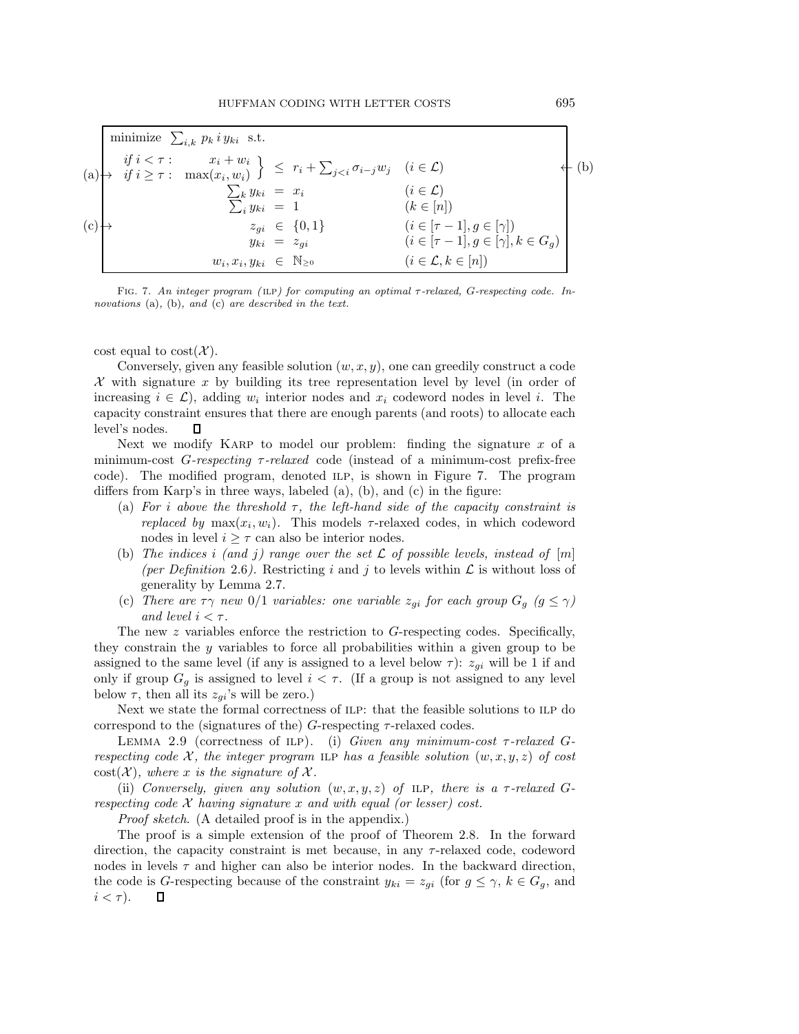|     | minimize $\sum_{i,k} p_k i y_{ki}$ s.t.                                                                                                                             |                      |                                               |  |
|-----|---------------------------------------------------------------------------------------------------------------------------------------------------------------------|----------------------|-----------------------------------------------|--|
|     | (a) $\begin{cases} &if \ i < \tau : \ x_i + w_i \\ &if \ i \geq \tau : \ \max(x_i, w_i) \end{cases} \leq r_i + \sum_{j < i} \sigma_{i-j} w_j \ (i \in \mathcal{L})$ |                      |                                               |  |
|     | $\sum_k y_{ki} = x_i$                                                                                                                                               |                      | $(i \in \mathcal{L})$                         |  |
|     | $\sum_{i} y_{ki} = 1$                                                                                                                                               |                      | $(k \in [n])$                                 |  |
| (c) |                                                                                                                                                                     | $z_{qi} \in \{0,1\}$ | $(i \in [\tau-1], g \in [\gamma])$            |  |
|     | $y_{ki} = z_{ai}$                                                                                                                                                   |                      | $(i \in [\tau-1], g \in [\gamma], k \in G_q)$ |  |
|     | $w_i, x_i, y_{ki} \in \mathbb{N}_{\geq 0}$                                                                                                                          |                      | $(i \in \mathcal{L}, k \in [n])$              |  |

FIG. 7. An integer program (ILP) for computing an optimal  $\tau$ -relaxed, G-respecting code. Innovations (a), (b), and (c) are described in the text.

cost equal to  $\text{cost}(\mathcal{X})$ .

Conversely, given any feasible solution  $(w, x, y)$ , one can greedily construct a code X with signature x by building its tree representation level by level (in order of increasing  $i \in \mathcal{L}$ , adding  $w_i$  interior nodes and  $x_i$  codeword nodes in level i. The capacity constraint ensures that there are enough parents (and roots) to allocate each level's nodes. П

Next we modify KARP to model our problem: finding the signature  $x$  of a minimum-cost G*-respecting* τ*-relaxed* code (instead of a minimum-cost prefix-free code). The modified program, denoted ilp, is shown in Figure 7. The program differs from Karp's in three ways, labeled (a), (b), and (c) in the figure:

- (a) *For* i *above the threshold* τ*, the left-hand side of the capacity constraint is replaced by*  $\max(x_i, w_i)$ . This models  $\tau$ -relaxed codes, in which codeword nodes in level  $i \geq \tau$  can also be interior nodes.
- (b) The indices i (and j) range over the set  $\mathcal L$  of possible levels, instead of  $[m]$ (per Definition 2.6). Restricting i and j to levels within  $\mathcal L$  is without loss of generality by Lemma 2.7.
- (c) *There are*  $\tau \gamma$  *new* 0/1 *variables: one variable*  $z_{gi}$  *for each group*  $G_g$  ( $g \leq \gamma$ ) *and level*  $i < \tau$ *.*

The new  $z$  variables enforce the restriction to  $G$ -respecting codes. Specifically, they constrain the y variables to force all probabilities within a given group to be assigned to the same level (if any is assigned to a level below  $\tau$ ):  $z_{qi}$  will be 1 if and only if group  $G_g$  is assigned to level  $i < \tau$ . (If a group is not assigned to any level below  $\tau$ , then all its  $z_{gi}$ 's will be zero.)

Next we state the formal correctness of ILP: that the feasible solutions to ILP do correspond to the (signatures of the)  $G$ -respecting  $\tau$ -relaxed codes.

Lemma 2.9 (correctness of ilp). (i) *Given any minimum-cost* τ*-relaxed* G*respecting code*  $\mathcal{X}$ *, the integer program* ILP has a feasible solution  $(w, x, y, z)$  of cost  $\text{cost}(\mathcal{X})$ *, where* x *is the signature of* X.

(ii) *Conversely, given any solution*  $(w, x, y, z)$  *of* ILP, there is a  $\tau$ -relaxed G*respecting code* X *having signature* x *and with equal (or lesser) cost.*

*Proof sketch*. (A detailed proof is in the appendix.)

The proof is a simple extension of the proof of Theorem 2.8. In the forward direction, the capacity constraint is met because, in any  $\tau$ -relaxed code, codeword nodes in levels  $\tau$  and higher can also be interior nodes. In the backward direction, the code is G-respecting because of the constraint  $y_{ki} = z_{gi}$  (for  $g \leq \gamma$ ,  $k \in G_g$ , and  $i < \tau$ ).  $\Box$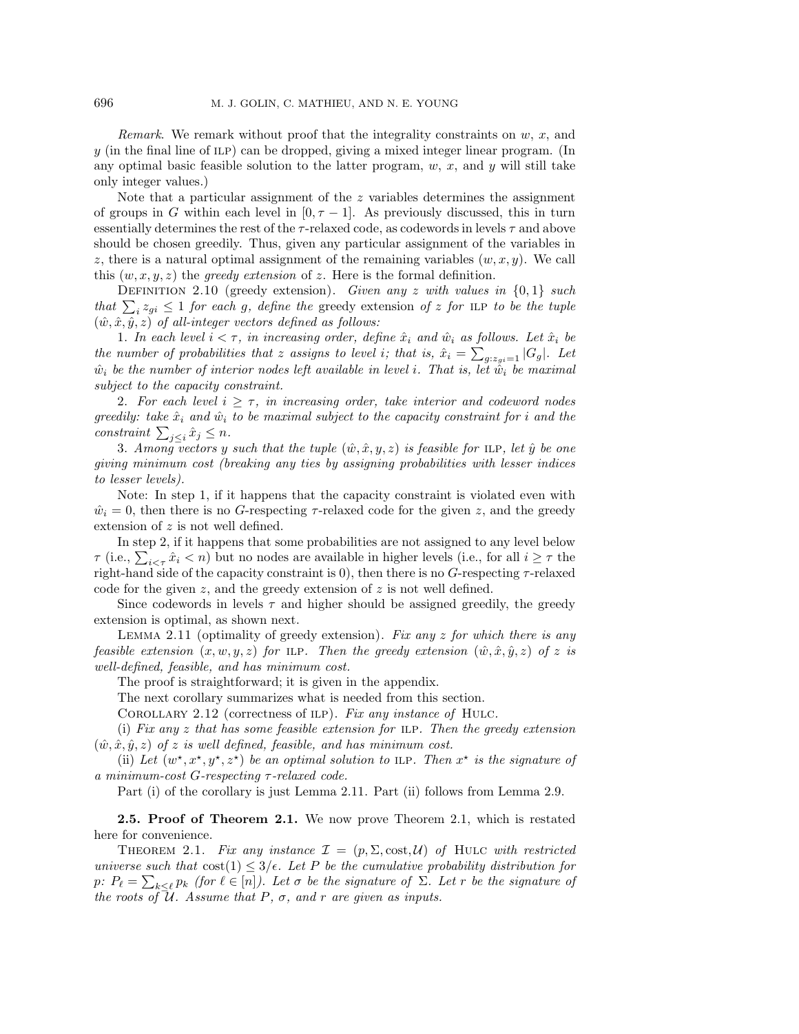*Remark*. We remark without proof that the integrality constraints on w, x, and  $y$  (in the final line of ILP) can be dropped, giving a mixed integer linear program. (In any optimal basic feasible solution to the latter program,  $w, x$ , and  $y$  will still take only integer values.)

Note that a particular assignment of the  $z$  variables determines the assignment of groups in G within each level in  $[0, \tau - 1]$ . As previously discussed, this in turn essentially determines the rest of the  $\tau$ -relaxed code, as codewords in levels  $\tau$  and above should be chosen greedily. Thus, given any particular assignment of the variables in z, there is a natural optimal assignment of the remaining variables  $(w, x, y)$ . We call this  $(w, x, y, z)$  the *greedy extension* of z. Here is the formal definition.

Definition 2.10 (greedy extension). *Given any* z *with values in* {0, 1} *such that*  $\sum_i z_{gi} \leq 1$  *for each g, define the* greedy extension *of* z *for* ILP *to be the tuple*  $(\hat{w}, \hat{x}, \hat{y}, z)$  *of all-integer vectors defined as follows:* 

1. In each level  $i < \tau$ , in increasing order, define  $\hat{x}_i$  and  $\hat{w}_i$  as follows. Let  $\hat{x}_i$  be *the number of probabilities that* z assigns to level *i*; that is,  $\hat{x}_i = \sum_{g: z_{gi}=1} |G_g|$ . Let  $\hat{x}_i$  be the number of interior nodes left evoluble in level *i*. That is, let  $\hat{x}_i$  be maximal  $\hat{w}_i$  be the number of interior nodes left available in level i. That is, let  $\hat{\tilde{w}}_i$  be maximal *subject to the capacity constraint.*

2. For each level  $i \geq \tau$ , in increasing order, take interior and codeword nodes *greedily: take*  $\hat{x}_i$  *and*  $\hat{w}_i$  *to be maximal subject to the capacity constraint for i and the*  $constraint \sum_{j\leq i} \hat{x}_j \leq n.$ 

3. *Among* vectors y such that the tuple  $(\hat{w}, \hat{x}, y, z)$  is feasible for ILP, let  $\hat{y}$  be one *giving minimum cost (breaking any ties by assigning probabilities with lesser indices to lesser levels).*

Note: In step 1, if it happens that the capacity constraint is violated even with  $\hat{w}_i = 0$ , then there is no G-respecting  $\tau$ -relaxed code for the given z, and the greedy extension of z is not well defined.

In step 2, if it happens that some probabilities are not assigned to any level below  $\tau$  (i.e.,  $\sum_{i \leq \tau} \hat{x}_i \leq n$ ) but no nodes are available in higher levels (i.e., for all  $i \geq \tau$  the right-hand side of the capacity constraint is 0), then there is no  $G$ -respecting  $\tau$ -relaxed code for the given z, and the greedy extension of z is not well defined.

Since codewords in levels  $\tau$  and higher should be assigned greedily, the greedy extension is optimal, as shown next.

Lemma 2.11 (optimality of greedy extension). *Fix any* z *for which there is any feasible extension*  $(x, w, y, z)$  *for* ILP*. Then the greedy extension*  $(\hat{w}, \hat{x}, \hat{y}, z)$  *of* z *is well-defined, feasible, and has minimum cost.*

The proof is straightforward; it is given in the appendix.

The next corollary summarizes what is needed from this section.

Corollary 2.12 (correctness of ilp). *Fix any instance of* Hulc*.*

(i) *Fix any* z *that has some feasible extension for* ilp*. Then the greedy extension*  $(\hat{w}, \hat{x}, \hat{y}, z)$  *of* z *is well defined, feasible, and has minimum cost.* 

(ii) Let  $(w^*, x^*, y^*, z^*)$  be an optimal solution to ILP. Then  $x^*$  is the signature of *a minimum-cost* G*-respecting* τ*-relaxed code.*

Part (i) of the corollary is just Lemma 2.11. Part (ii) follows from Lemma 2.9.

**2.5. Proof of Theorem 2.1.** We now prove Theorem 2.1, which is restated here for convenience.

THEOREM 2.1. Fix any instance  $\mathcal{I} = (p, \Sigma, \text{cost}, \mathcal{U})$  of HULC with restricted *universe such that*  $\cos(1) \leq 3/\epsilon$ . Let P be the cumulative probability distribution for p:  $P_{\ell} = \sum_{k \leq \ell} p_k$  *(for*  $\ell \in [n]$ *). Let*  $\sigma$  *be the signature of*  $\Sigma$ *. Let*  $r$  *be the signature of the roots of*  $\overline{\mathcal{U}}$ *. Assume that*  $P$ *,*  $\sigma$ *, and*  $r$  *are given as inputs.*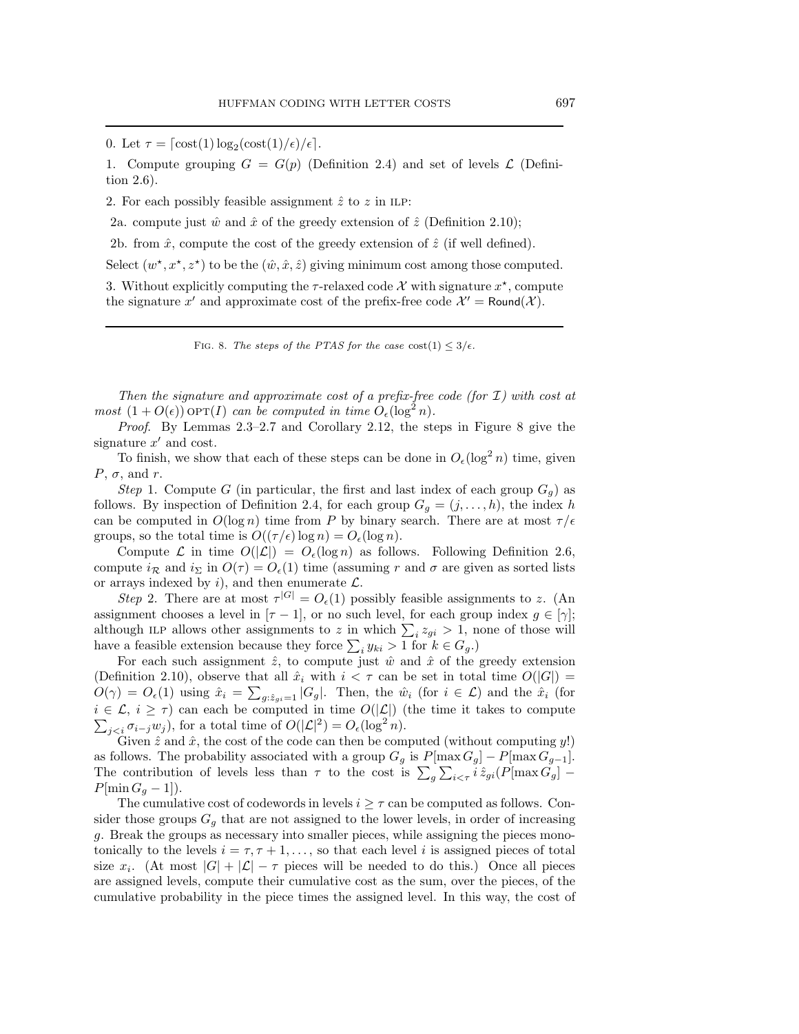0. Let  $\tau = \left[ \frac{\cos\left(\frac{1}{\epsilon}\right) \log_2(\cos\left(\frac{1}{\epsilon}\right))}{\epsilon} \right]$ .

1. Compute grouping  $G = G(p)$  (Definition 2.4) and set of levels  $\mathcal L$  (Definition 2.6).

2. For each possibly feasible assignment  $\hat{z}$  to  $z$  in ILP:

2a. compute just  $\hat{w}$  and  $\hat{x}$  of the greedy extension of  $\hat{z}$  (Definition 2.10);

2b. from  $\hat{x}$ , compute the cost of the greedy extension of  $\hat{z}$  (if well defined).

Select  $(w^*, x^*, z^*)$  to be the  $(\hat{w}, \hat{x}, \hat{z})$  giving minimum cost among those computed.

3. Without explicitly computing the  $\tau$ -relaxed code X with signature  $x^*$ , compute the signature x' and approximate cost of the prefix-free code  $\mathcal{X}' = \text{Round}(\mathcal{X})$ .

FIG. 8. The steps of the PTAS for the case  $\text{cost}(1) \leq 3/\epsilon$ .

*Then the signature and approximate cost of a prefix-free code (for* I*) with cost at most*  $(1 + O(\epsilon))$  op $T(I)$  *can be computed in time*  $O_{\epsilon}(\log^2 n)$ *.* 

*Proof*. By Lemmas 2.3–2.7 and Corollary 2.12, the steps in Figure 8 give the signature  $x'$  and cost.

To finish, we show that each of these steps can be done in  $O_{\epsilon}(\log^2 n)$  time, given  $P, \sigma,$  and r.

*Step* 1. Compute G (in particular, the first and last index of each group  $G_g$ ) as follows. By inspection of Definition 2.4, for each group  $G_q = (j, \ldots, h)$ , the index h can be computed in  $O(\log n)$  time from P by binary search. There are at most  $\tau/\epsilon$ groups, so the total time is  $O((\tau/\epsilon) \log n) = O_{\epsilon}(\log n)$ .

Compute  $\mathcal L$  in time  $O(|\mathcal L|) = O_{\epsilon}(\log n)$  as follows. Following Definition 2.6, compute  $i_R$  and  $i_{\Sigma}$  in  $O(\tau) = O_e(1)$  time (assuming r and  $\sigma$  are given as sorted lists or arrays indexed by  $i$ , and then enumerate  $\mathcal{L}$ .

*Step* 2. There are at most  $\tau^{|G|} = O_{\epsilon}(1)$  possibly feasible assignments to z. (An assignment chooses a level in  $[\tau - 1]$ , or no such level, for each group index  $g \in [\gamma]$ ; although ILP allows other assignments to z in which  $\sum_i z_{gi} > 1$ , none of those will have a feasible extension because they force  $\sum_i y_{ki} > 1$  for  $k \in G_g$ .)

For each such assignment  $\hat{z}$ , to compute just  $\hat{w}$  and  $\hat{x}$  of the greedy extension (Definition 2.10), observe that all  $\hat{x}_i$  with  $i < \tau$  can be set in total time  $O(|G|)$  =  $O(\gamma) = O_{\epsilon}(1)$  using  $\hat{x}_i = \sum_{g: \hat{z}_{gi}=1} |G_g|$ . Then, the  $\hat{w}_i$  (for  $i \in \mathcal{L}$ ) and the  $\hat{x}_i$  (for  $\sum_{j, for a total time of  $O(|\mathcal{L}|^2) = O_{\epsilon}(\log^2 n)$ .$  $i \in \mathcal{L}, i \geq \tau$ ) can each be computed in time  $O(|\mathcal{L}|)$  (the time it takes to compute

Given  $\hat{z}$  and  $\hat{x}$ , the cost of the code can then be computed (without computing  $y!$ ) as follows. The probability associated with a group  $G_g$  is  $P[\max G_g] - P[\max G_{g-1}]$ .<br>The contribution of levels less than  $\tau$  to the cost is  $\sum_g \sum_{i \leq \tau} i \hat{z}_{gi}(P[\max G_g] - P[\max G_g]$  $P[\min G_q-1]).$ 

The cumulative cost of codewords in levels  $i \geq \tau$  can be computed as follows. Consider those groups  $G_q$  that are not assigned to the lower levels, in order of increasing g. Break the groups as necessary into smaller pieces, while assigning the pieces monotonically to the levels  $i = \tau, \tau + 1, \ldots$ , so that each level i is assigned pieces of total size  $x_i$ . (At most  $|G| + |\mathcal{L}| - \tau$  pieces will be needed to do this.) Once all pieces are assigned levels, compute their cumulative cost as the sum, over the pieces, of the cumulative probability in the piece times the assigned level. In this way, the cost of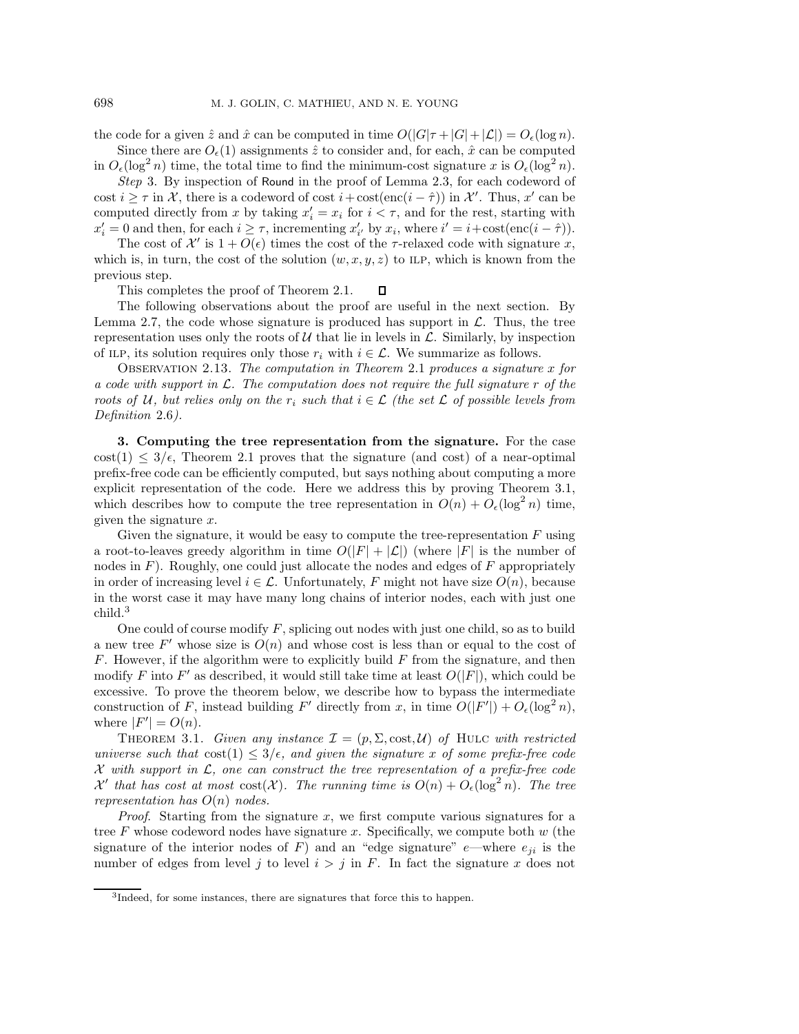the code for a given  $\hat{z}$  and  $\hat{x}$  can be computed in time  $O(|G|\tau + |G| + |\mathcal{L}|) = O_{\epsilon}(\log n)$ . Since there are  $O_{\epsilon}(1)$  assignments  $\hat{z}$  to consider and, for each,  $\hat{x}$  can be computed

in  $O_{\epsilon}(\log^2 n)$  time, the total time to find the minimum-cost signature x is  $O_{\epsilon}(\log^2 n)$ .

*Step* 3. By inspection of Round in the proof of Lemma 2.3, for each codeword of cost  $i \geq \tau$  in X, there is a codeword of cost  $i + \text{cost}(\text{enc}(i - \hat{\tau}))$  in X'. Thus, x' can be computed directly from x by taking  $x'_i = x_i$  for  $i < \tau$ , and for the rest, starting with  $x'_i = 0$  and then, for each  $i \geq \tau$ , incrementing  $x'_{i'}$  by  $x_i$ , where  $i' = i + \text{cost}(\text{enc}(i - \hat{\tau}))$ .

The cost of  $\mathcal{X}'$  is  $1 + O(\epsilon)$  times the cost of the  $\tau$ -relaxed code with signature x, which is, in turn, the cost of the solution  $(w, x, y, z)$  to ILP, which is known from the previous step.

This completes the proof of Theorem 2.1.  $\Box$ 

The following observations about the proof are useful in the next section. By Lemma 2.7, the code whose signature is produced has support in  $\mathcal{L}$ . Thus, the tree representation uses only the roots of  $U$  that lie in levels in  $\mathcal{L}$ . Similarly, by inspection of ILP, its solution requires only those  $r_i$  with  $i \in \mathcal{L}$ . We summarize as follows.

Observation 2.13. *The computation in Theorem* 2.1 *produces a signature* x *for a code with support in* L*. The computation does not require the full signature* r *of the roots of* U, but relies only on the  $r_i$  such that  $i \in \mathcal{L}$  (the set L of possible levels from *Definition* 2.6*).*

**3. Computing the tree representation from the signature.** For the case cost(1)  $\leq 3/\epsilon$ , Theorem 2.1 proves that the signature (and cost) of a near-optimal prefix-free code can be efficiently computed, but says nothing about computing a more explicit representation of the code. Here we address this by proving Theorem 3.1, which describes how to compute the tree representation in  $O(n) + O_{\epsilon}(\log^2 n)$  time, given the signature x.

Given the signature, it would be easy to compute the tree-representation  $F$  using a root-to-leaves greedy algorithm in time  $O(|F| + |\mathcal{L}|)$  (where |F| is the number of nodes in  $F$ ). Roughly, one could just allocate the nodes and edges of  $F$  appropriately in order of increasing level  $i \in \mathcal{L}$ . Unfortunately, F might not have size  $O(n)$ , because in the worst case it may have many long chains of interior nodes, each with just one child.3

One could of course modify  $F$ , splicing out nodes with just one child, so as to build a new tree F' whose size is  $O(n)$  and whose cost is less than or equal to the cost of  $F$ . However, if the algorithm were to explicitly build  $F$  from the signature, and then modify F into F' as described, it would still take time at least  $O(|F|)$ , which could be excessive. To prove the theorem below, we describe how to bypass the intermediate construction of F, instead building F' directly from x, in time  $O(|F'|) + O_{\epsilon}(\log^2 n)$ , where  $|F'| = O(n)$ .

THEOREM 3.1. *Given any instance*  $\mathcal{I} = (p, \Sigma, \text{cost}, \mathcal{U})$  *of* HULC *with restricted universe such that*  $\cos(1) \leq 3/\epsilon$ , and given the signature x of some prefix-free code X *with support in* L*, one can construct the tree representation of a prefix-free code*  $\mathcal{X}'$  that has cost at most  $\text{cost}(\mathcal{X})$ . The running time is  $O(n) + O_{\epsilon}(\log^2 n)$ . The tree *representation has* O(n) *nodes.*

*Proof.* Starting from the signature x, we first compute various signatures for a tree  $F$  whose codeword nodes have signature x. Specifically, we compute both  $w$  (the signature of the interior nodes of F) and an "edge signature" e—where  $e_{ji}$  is the number of edges from level j to level  $i>j$  in F. In fact the signature x does not

<sup>3</sup>Indeed, for some instances, there are signatures that force this to happen.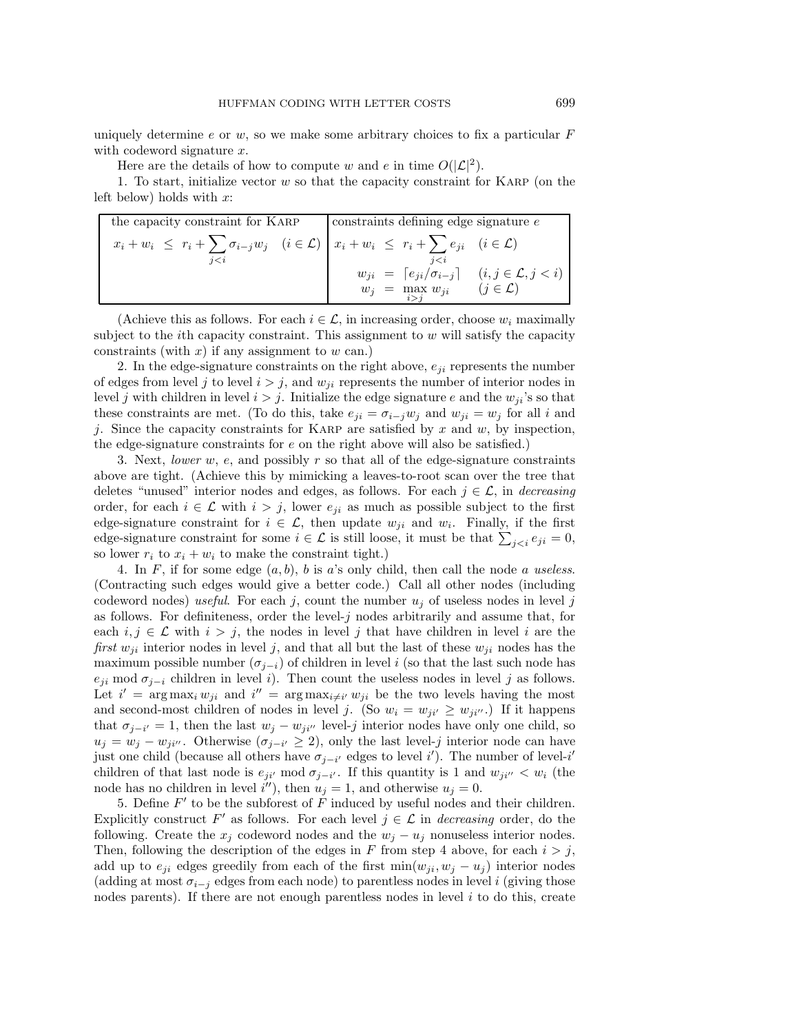uniquely determine e or  $w$ , so we make some arbitrary choices to fix a particular  $F$ with codeword signature  $x$ .

Here are the details of how to compute w and e in time  $O(|\mathcal{L}|^2)$ .

1. To start, initialize vector w so that the capacity constraint for Karp (on the left below) holds with  $x$ :

| $\vert$ constraints defining edge signature $e$                                                                                        |  |  |
|----------------------------------------------------------------------------------------------------------------------------------------|--|--|
| $x_i + w_i \leq r_i + \sum \sigma_{i-j} w_j \quad (i \in \mathcal{L}) \mid x_i + w_i \leq r_i + \sum e_{ji} \quad (i \in \mathcal{L})$ |  |  |
| $i\leq i$                                                                                                                              |  |  |
| $w_{ji} = [e_{ji}/\sigma_{i-j}]$ $(i, j \in \mathcal{L}, j < i)$                                                                       |  |  |
| $w_j = \max_{i > j} w_{ji}$<br>$(j \in \mathcal{L})$                                                                                   |  |  |
|                                                                                                                                        |  |  |

(Achieve this as follows. For each  $i \in \mathcal{L}$ , in increasing order, choose  $w_i$  maximally subject to the *i*th capacity constraint. This assignment to  $w$  will satisfy the capacity constraints (with  $x$ ) if any assignment to  $w$  can.)

2. In the edge-signature constraints on the right above,  $e_{ji}$  represents the number of edges from level j to level  $i>j$ , and  $w_{ii}$  represents the number of interior nodes in level j with children in level  $i>j$ . Initialize the edge signature e and the  $w_{ji}$ 's so that these constraints are met. (To do this, take  $e_{ji} = \sigma_{i-j}w_j$  and  $w_{ji} = w_j$  for all i and j. Since the capacity constraints for KARP are satisfied by  $x$  and  $w$ , by inspection, the edge-signature constraints for  $e$  on the right above will also be satisfied.)

3. Next, *lower* w, e, and possibly r so that all of the edge-signature constraints above are tight. (Achieve this by mimicking a leaves-to-root scan over the tree that deletes "unused" interior nodes and edges, as follows. For each  $j \in \mathcal{L}$ , in *decreasing* order, for each  $i \in \mathcal{L}$  with  $i > j$ , lower  $e_{ji}$  as much as possible subject to the first edge-signature constraint for  $i \in \mathcal{L}$ , then update  $w_{ji}$  and  $w_i$ . Finally, if the first edge-signature constraint for some  $i \in \mathcal{L}$  is still loose, it must be that  $\sum_{j < i} e_{ji} = 0$ , so lower  $r_i$  to  $x_i + w_i$  to make the constraint tight.)

4. In  $F$ , if for some edge  $(a, b)$ , b is a's only child, then call the node a useless. (Contracting such edges would give a better code.) Call all other nodes (including codeword nodes) *useful*. For each j, count the number  $u_j$  of useless nodes in level j as follows. For definiteness, order the level-j nodes arbitrarily and assume that, for each  $i, j \in \mathcal{L}$  with  $i > j$ , the nodes in level j that have children in level i are the *first*  $w_{ii}$  interior nodes in level j, and that all but the last of these  $w_{ii}$  nodes has the maximum possible number ( $\sigma_{i-i}$ ) of children in level i (so that the last such node has  $e_{ji}$  mod  $\sigma_{j-i}$  children in level i). Then count the useless nodes in level j as follows. Let  $i' = \arg \max_i w_{ji}$  and  $i'' = \arg \max_{i \neq i'} w_{ji}$  be the two levels having the most and second-most children of nodes in level j. (So  $w_i = w_{ji'} \geq w_{ji''}$ .) If it happens that  $\sigma_{j-i'} = 1$ , then the last  $w_j - w_{ji'}$  level-j interior nodes have only one child, so  $u_j = w_j - w_{ji'}$ . Otherwise  $(\sigma_{j-i'} \geq 2)$ , only the last level-j interior node can have just one child (because all others have  $\sigma_{j-i'}$  edges to level i'). The number of level-i' children of that last node is  $e_{ji'}$  mod  $\sigma_{j-i'}$ . If this quantity is 1 and  $w_{ji'} < w_i$  (the node has no children in level  $i'$ , then  $u_j = 1$ , and otherwise  $u_j = 0$ .

5. Define  $F'$  to be the subforest of  $F$  induced by useful nodes and their children. Explicitly construct F' as follows. For each level  $j \in \mathcal{L}$  in *decreasing* order, do the following. Create the  $x_j$  codeword nodes and the  $w_j - u_j$  nonuseless interior nodes. Then, following the description of the edges in F from step 4 above, for each  $i>j$ , add up to  $e_{ji}$  edges greedily from each of the first min $(w_{ji}, w_j - u_j)$  interior nodes (adding at most  $\sigma_{i-j}$  edges from each node) to parentless nodes in level i (giving those nodes parents). If there are not enough parentless nodes in level  $i$  to do this, create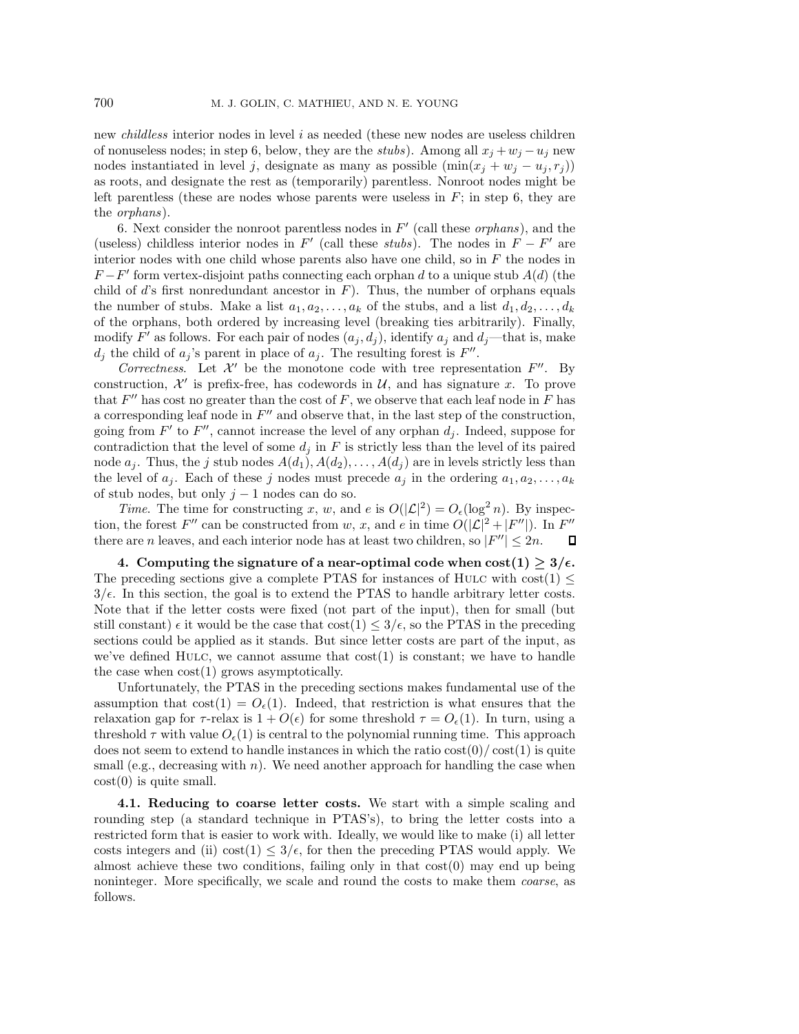new *childless* interior nodes in level i as needed (these new nodes are useless children of nonuseless nodes; in step 6, below, they are the *stubs*). Among all  $x_j + w_j - u_j$  new nodes instantiated in level j, designate as many as possible  $(\min(x_j + w_j - u_j, r_j))$ as roots, and designate the rest as (temporarily) parentless. Nonroot nodes might be left parentless (these are nodes whose parents were useless in  $F$ ; in step 6, they are the *orphans*).

6. Next consider the nonroot parentless nodes in  $F'$  (call these *orphans*), and the (useless) childless interior nodes in  $F'$  (call these *stubs*). The nodes in  $F - F'$  are interior nodes with one child whose parents also have one child, so in  $F$  the nodes in  $F-F'$  form vertex-disjoint paths connecting each orphan d to a unique stub  $A(d)$  (the child of d's first nonredundant ancestor in  $F$ ). Thus, the number of orphans equals the number of stubs. Make a list  $a_1, a_2, \ldots, a_k$  of the stubs, and a list  $d_1, d_2, \ldots, d_k$ of the orphans, both ordered by increasing level (breaking ties arbitrarily). Finally, modify F' as follows. For each pair of nodes  $(a_j, d_j)$ , identify  $a_j$  and  $d_j$ —that is, make  $d_i$  the child of  $a_i$ 's parent in place of  $a_i$ . The resulting forest is  $F''$ .

*Correctness.* Let  $\mathcal{X}'$  be the monotone code with tree representation  $F''$ . By construction,  $\mathcal{X}'$  is prefix-free, has codewords in  $\mathcal{U}$ , and has signature x. To prove that  $F''$  has cost no greater than the cost of F, we observe that each leaf node in F has a corresponding leaf node in  $F''$  and observe that, in the last step of the construction, going from  $F'$  to  $F''$ , cannot increase the level of any orphan  $d_i$ . Indeed, suppose for contradiction that the level of some  $d_i$  in F is strictly less than the level of its paired node  $a_j$ . Thus, the j stub nodes  $A(d_1), A(d_2), \ldots, A(d_j)$  are in levels strictly less than the level of  $a_i$ . Each of these j nodes must precede  $a_i$  in the ordering  $a_1, a_2, \ldots, a_k$ of stub nodes, but only  $j - 1$  nodes can do so.

*Time*. The time for constructing x, w, and e is  $O(|\mathcal{L}|^2) = O_{\epsilon}(\log^2 n)$ . By inspection, the forest F'' can be constructed from w, x, and e in time  $O(|\mathcal{L}|^2 + |F''|)$ . In F'' there are n leaves, and each interior node has at least two children, so  $|F''| \leq 2n$ . П

**4.** Computing the signature of a near-optimal code when  $\text{cost}(1) \ge 3/\epsilon$ . The preceding sections give a complete PTAS for instances of HULC with cost(1)  $\leq$  $3/\epsilon$ . In this section, the goal is to extend the PTAS to handle arbitrary letter costs. Note that if the letter costs were fixed (not part of the input), then for small (but still constant)  $\epsilon$  it would be the case that  $\text{cost}(1) \leq 3/\epsilon$ , so the PTAS in the preceding sections could be applied as it stands. But since letter costs are part of the input, as we've defined HULC, we cannot assume that  $cost(1)$  is constant; we have to handle the case when cost(1) grows asymptotically.

Unfortunately, the PTAS in the preceding sections makes fundamental use of the assumption that  $\text{cost}(1) = O_{\epsilon}(1)$ . Indeed, that restriction is what ensures that the relaxation gap for  $\tau$ -relax is  $1 + O(\epsilon)$  for some threshold  $\tau = O_{\epsilon}(1)$ . In turn, using a threshold  $\tau$  with value  $O_{\epsilon}(1)$  is central to the polynomial running time. This approach does not seem to extend to handle instances in which the ratio  $\cos(t)/\cos(t)$  is quite small (e.g., decreasing with  $n$ ). We need another approach for handling the case when  $cost(0)$  is quite small.

**4.1. Reducing to coarse letter costs.** We start with a simple scaling and rounding step (a standard technique in PTAS's), to bring the letter costs into a restricted form that is easier to work with. Ideally, we would like to make (i) all letter costs integers and (ii) cost(1)  $\leq 3/\epsilon$ , for then the preceding PTAS would apply. We almost achieve these two conditions, failing only in that cost(0) may end up being noninteger. More specifically, we scale and round the costs to make them *coarse*, as follows.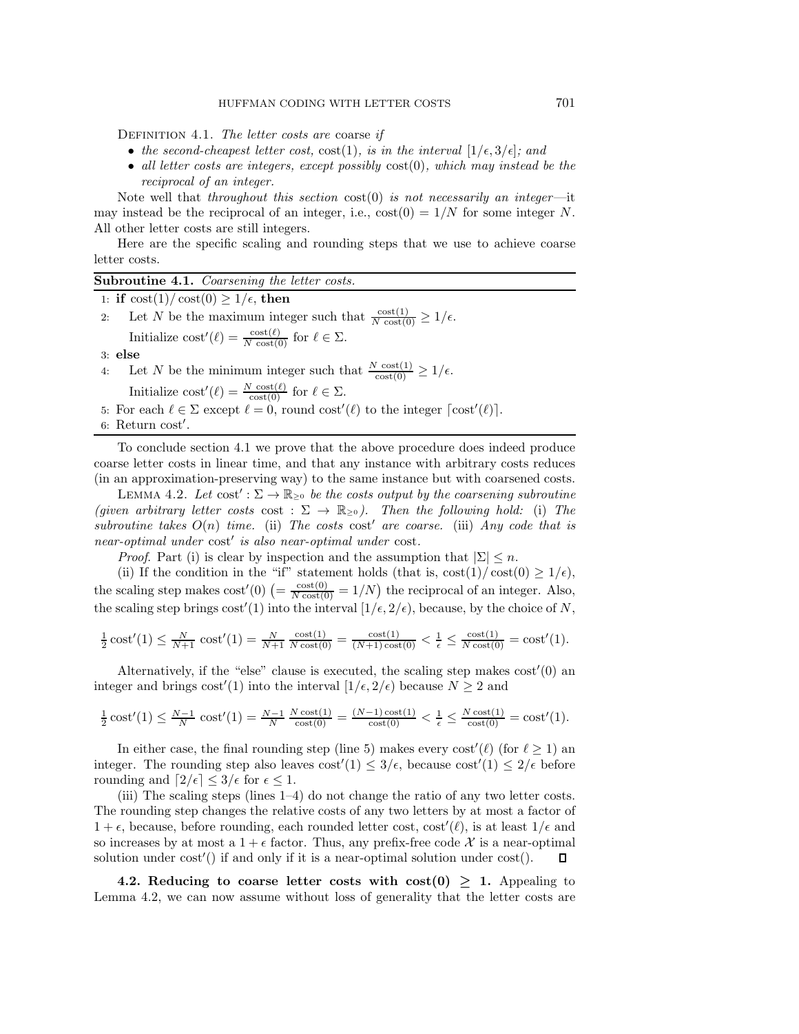Definition 4.1. *The letter costs are* coarse *if*

- the second-cheapest letter cost,  $\text{cost}(1)$ *, is in the interval*  $[1/\epsilon, 3/\epsilon]$ *; and*
- *all letter costs are integers, except possibly* cost(0)*, which may instead be the reciprocal of an integer.*

Note well that *throughout this section* cost(0) *is not necessarily an integer*—it may instead be the reciprocal of an integer, i.e.,  $cost(0) = 1/N$  for some integer N. All other letter costs are still integers.

Here are the specific scaling and rounding steps that we use to achieve coarse letter costs.

**Subroutine 4.1.** *Coarsening the letter costs.*

1: **if**  $\cos(t)/\cos(t) \geq 1/\epsilon$ , **then** 

2: Let N be the maximum integer such that  $\frac{\text{cost}(1)}{N \text{ cost}(0)} \ge 1/\epsilon$ . Initialize  $\text{cost}'(\ell) = \frac{\text{cost}(\ell)}{N \text{ cost}(0)}$  for  $\ell \in \Sigma$ .

3: **else**

- 4: Let N be the minimum integer such that  $\frac{N \cosh(1)}{\cosh(0)} \geq 1/\epsilon$ . Initialize  $\text{cost}'(\ell) = \frac{N \cdot \text{cost}(\ell)}{\text{cost}(0)}$  for  $\ell \in \Sigma$ .<br>result  $\ell \in \Sigma$  export  $\ell = 0$  round easy'.
- 5: For each  $\ell \in \Sigma$  except  $\ell = 0$ , round cost' $(\ell)$  to the integer  $\lceil \text{cost}'(\ell) \rceil$ .
- 6: Return cost .

To conclude section 4.1 we prove that the above procedure does indeed produce coarse letter costs in linear time, and that any instance with arbitrary costs reduces (in an approximation-preserving way) to the same instance but with coarsened costs.

LEMMA 4.2. Let  $cost': \Sigma \to \mathbb{R}_{\geq 0}$  be the costs output by the coarsening subroutine *(given arbitrary letter costs* cost :  $\Sigma \rightarrow \mathbb{R}_{\geq 0}$ *). Then the following hold:* (i) The *subroutine takes*  $O(n)$  *time.* (ii) The costs cost' are coarse. (iii) *Any code that is near-optimal under* cost' *is also near-optimal under* cost.

*Proof.* Part (i) is clear by inspection and the assumption that  $|\Sigma| \leq n$ .

(ii) If the condition in the "if" statement holds (that is,  $\cos t(1)/\cos t(0) \geq 1/\epsilon$ ), the scaling step makes  $\cos t'(0) = \frac{\cos t(0)}{N} = 1/N$  the reciprocal of an integer. Also, the scaling step brings  $\text{cost}'(1)$  into the interval  $[1/\epsilon, 2/\epsilon)$ , because, by the choice of N,

$$
\frac{1}{2}\cos t'(1) \le \frac{N}{N+1} \cos t'(1) = \frac{N}{N+1} \frac{\cos t(1)}{N \cos t(0)} = \frac{\cos t(1)}{(N+1)\cos t(0)} < \frac{1}{\epsilon} \le \frac{\cos t(1)}{N \cos t(0)} = \cos t'(1).
$$

Alternatively, if the "else" clause is executed, the scaling step makes  $cost'(0)$  an integer and brings  $cost'(1)$  into the interval  $[1/\epsilon, 2/\epsilon)$  because  $N \geq 2$  and

$$
\frac{1}{2}\cos t'(1) \le \frac{N-1}{N} \cos t'(1) = \frac{N-1}{N} \frac{N \cos t(1)}{\cos t(0)} = \frac{(N-1)\cos t(1)}{\cos t(0)} < \frac{1}{\epsilon} \le \frac{N \cos t(1)}{\cos t(0)} = \cos t'(1).
$$

In either case, the final rounding step (line 5) makes every cost'( $\ell$ ) (for  $\ell \geq 1$ ) an integer. The rounding step also leaves  $\cot'(1) \leq 3/\epsilon$ , because  $\cot'(1) \leq 2/\epsilon$  before rounding and  $\lceil 2/\epsilon \rceil \leq 3/\epsilon$  for  $\epsilon \leq 1$ .

(iii) The scaling steps (lines  $1-4$ ) do not change the ratio of any two letter costs. The rounding step changes the relative costs of any two letters by at most a factor of  $1 + \epsilon$ , because, before rounding, each rounded letter cost,  $\cot'(\ell)$ , is at least  $1/\epsilon$  and so increases by at most a  $1 + \epsilon$  factor. Thus, any prefix-free code X is a near-optimal solution under cost'() if and only if it is a near-optimal solution under cost(). 0.

**4.2. Reducing to coarse letter costs with**  $cost(0) > 1$ **.** Appealing to Lemma 4.2, we can now assume without loss of generality that the letter costs are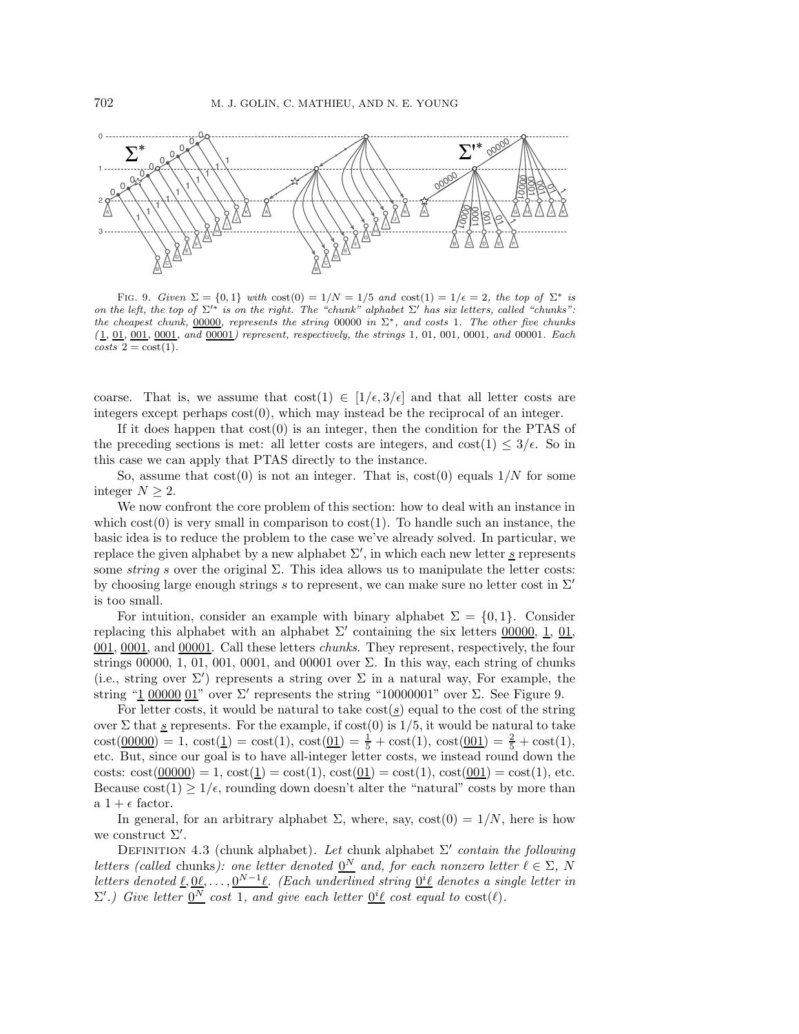

FIG. 9. Given  $\Sigma = \{0,1\}$  with  $\text{cost}(0) = 1/N = 1/5$  and  $\text{cost}(1) = 1/\epsilon = 2$ , the top of  $\Sigma^*$  is on the left, the top of  $\Sigma'^*$  is on the right. The "chunk" alphabet  $\Sigma'$  has six letters, called "chunks": the cheapest chunk, 00000, represents the string 00000 in  $\Sigma^*$ , and costs 1. The other five chunks  $(1, 01, 001, 0001, 0001, 00001)$  represent, respectively, the strings 1, 01, 001, 0001, and 00001. Each  $costs$  2 =  $cost(1)$ .

coarse. That is, we assume that  $\text{cost}(1) \in [1/\epsilon, 3/\epsilon]$  and that all letter costs are integers except perhaps  $cost(0)$ , which may instead be the reciprocal of an integer.

If it does happen that  $cost(0)$  is an integer, then the condition for the PTAS of the preceding sections is met: all letter costs are integers, and  $\cos(1) \leq 3/\epsilon$ . So in this case we can apply that PTAS directly to the instance.

So, assume that  $cost(0)$  is not an integer. That is,  $cost(0)$  equals  $1/N$  for some integer  $N > 2$ .

We now confront the core problem of this section: how to deal with an instance in which  $cost(0)$  is very small in comparison to  $cost(1)$ . To handle such an instance, the basic idea is to reduce the problem to the case we've already solved. In particular, we replace the given alphabet by a new alphabet  $\Sigma'$ , in which each new letter s represents some *string* s over the original  $\Sigma$ . This idea allows us to manipulate the letter costs: by choosing large enough strings s to represent, we can make sure no letter cost in  $\Sigma'$ is too small.

For intuition, consider an example with binary alphabet  $\Sigma = \{0, 1\}$ . Consider replacing this alphabet with an alphabet  $\Sigma'$  containing the six letters 00000, 1, 01, 001, 0001, and 00001. Call these letters *chunks*. They represent, respectively, the four strings 00000, 1, 01, 001, 0001, and 00001 over  $\Sigma$ . In this way, each string of chunks (i.e., string over  $\Sigma'$ ) represents a string over  $\Sigma$  in a natural way, For example, the string "1 00000 01" over  $\Sigma'$  represents the string "10000001" over  $\Sigma$ . See Figure 9.

For letter costs, it would be natural to take  $\cos\left(\frac{s}{s}\right)$  equal to the cost of the string over  $\Sigma$  that <u>s</u> represents. For the example, if cost(0) is 1/5, it would be natural to take  $cost(\underline{00000}) = 1$ ,  $cost(\underline{1}) = cost(1)$ ,  $cost(\underline{01}) = \frac{1}{5} + cost(1)$ ,  $cost(\underline{001}) = \frac{2}{5} + cost(1)$ , etc. But, since our goal is to have all-integer letter costs, we instead round down the costs:  $\text{cost}(00000) = 1$ ,  $\text{cost}(1) = \text{cost}(0, \text{cost}(0, 0) = \text{cost}(1)$ ,  $\text{cost}(0, \text{cost}(0, 0) = \text{cost}(1)$ , etc. Because  $\text{cost}(1) \geq 1/\epsilon$ , rounding down doesn't alter the "natural" costs by more than a  $1+\epsilon$  factor.

In general, for an arbitrary alphabet  $\Sigma$ , where, say,  $\text{cost}(0) = 1/N$ , here is how we construct  $\Sigma'$ .

DEFINITION 4.3 (chunk alphabet). Let chunk alphabet  $\Sigma'$  *contain the following letters (called chunks): one letter denoted*  $\underline{0}^N$  *and, for each nonzero letter*  $\ell \in \Sigma$ , N  $l$ etters denoted <u> $\ell, 0\ell, \ldots, 0^{N-1}\ell$ </u>. (Each underlined string  $0^{i}\ell$  denotes a single letter in  $\Sigma'.$ ) Give letter  $0<sup>N</sup>$  *cost* 1*, and give each letter*  $0<sup>i</sup>ℓ$  *cost equal to* cost( $ℓ$ ).</u></u>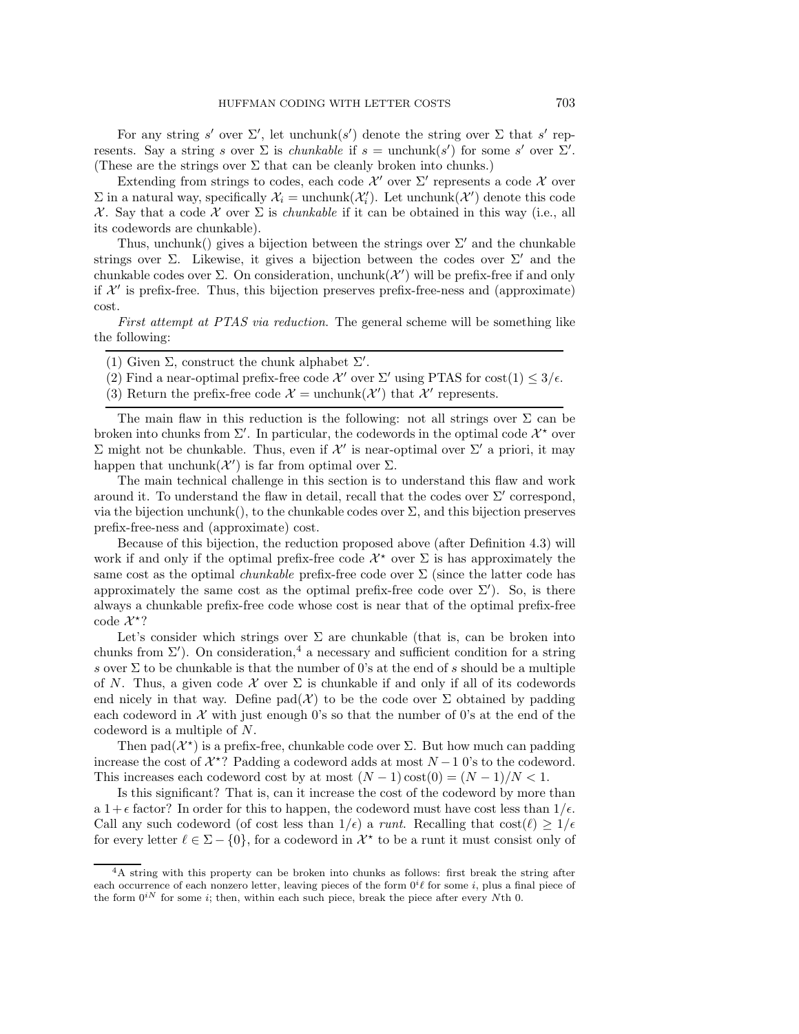For any string s' over  $\Sigma'$ , let unchunk $(s')$  denote the string over  $\Sigma$  that s' represents. Say a string s over  $\Sigma$  is *chunkable* if  $s = \text{unchunk}(s')$  for some s' over  $\Sigma'$ . (These are the strings over  $\Sigma$  that can be cleanly broken into chunks.)

Extending from strings to codes, each code  $\mathcal{X}'$  over  $\Sigma'$  represents a code  $\mathcal X$  over  $\Sigma$  in a natural way, specifically  $\mathcal{X}_i = \text{unchunk}(\mathcal{X}'_i)$ . Let  $\text{unchunk}(\mathcal{X}')$  denote this code X. Say that a code X over Σ is *chunkable* if it can be obtained in this way (i.e., all its codewords are chunkable).

Thus, unchunk() gives a bijection between the strings over  $\Sigma'$  and the chunkable strings over  $\Sigma$ . Likewise, it gives a bijection between the codes over  $\Sigma'$  and the chunkable codes over  $\Sigma$ . On consideration, unchunk $(\mathcal{X}')$  will be prefix-free if and only if  $\mathcal{X}'$  is prefix-free. Thus, this bijection preserves prefix-free-ness and (approximate) cost.

*First attempt at PTAS via reduction*. The general scheme will be something like the following:

- (1) Given  $\Sigma$ , construct the chunk alphabet  $\Sigma'$ .
- (2) Find a near-optimal prefix-free code  $\mathcal{X}'$  over  $\Sigma'$  using PTAS for cost(1)  $\leq 3/\epsilon$ .
- (3) Return the prefix-free code  $\mathcal{X} =$  unchunk $(\mathcal{X}')$  that  $\mathcal{X}'$  represents.

The main flaw in this reduction is the following: not all strings over  $\Sigma$  can be broken into chunks from  $\Sigma'$ . In particular, the codewords in the optimal code  $\mathcal{X}^*$  over Σ might not be chunkable. Thus, even if  $X'$  is near-optimal over Σ' a priori, it may happen that unchunk $(\mathcal{X}')$  is far from optimal over  $\Sigma$ .

The main technical challenge in this section is to understand this flaw and work around it. To understand the flaw in detail, recall that the codes over  $\Sigma'$  correspond, via the bijection unchunk(), to the chunkable codes over  $\Sigma$ , and this bijection preserves prefix-free-ness and (approximate) cost.

Because of this bijection, the reduction proposed above (after Definition 4.3) will work if and only if the optimal prefix-free code  $\mathcal{X}^*$  over  $\Sigma$  is has approximately the same cost as the optimal *chunkable* prefix-free code over Σ (since the latter code has approximately the same cost as the optimal prefix-free code over  $\Sigma'$ ). So, is there always a chunkable prefix-free code whose cost is near that of the optimal prefix-free code  $\mathcal{X}^*$ ?

Let's consider which strings over  $\Sigma$  are chunkable (that is, can be broken into chunks from  $\Sigma'$ ). On consideration,<sup>4</sup> a necessary and sufficient condition for a string s over  $\Sigma$  to be chunkable is that the number of 0's at the end of s should be a multiple of N. Thus, a given code  $\mathcal X$  over  $\Sigma$  is chunkable if and only if all of its codewords end nicely in that way. Define  $pad(\mathcal{X})$  to be the code over  $\Sigma$  obtained by padding each codeword in  $\mathcal X$  with just enough 0's so that the number of 0's at the end of the codeword is a multiple of N.

Then pad $(\mathcal{X}^*)$  is a prefix-free, chunkable code over  $\Sigma$ . But how much can padding increase the cost of  $\mathcal{X}^*$ ? Padding a codeword adds at most  $N-1$  0's to the codeword. This increases each codeword cost by at most  $(N-1)\cos(0) = (N-1)/N < 1$ .

Is this significant? That is, can it increase the cost of the codeword by more than a  $1+\epsilon$  factor? In order for this to happen, the codeword must have cost less than  $1/\epsilon$ . Call any such codeword (of cost less than  $1/\epsilon$ ) a *runt*. Recalling that  $\cos(\ell) \geq 1/\epsilon$ for every letter  $\ell \in \Sigma - \{0\}$ , for a codeword in  $\mathcal{X}^*$  to be a runt it must consist only of

<sup>&</sup>lt;sup>4</sup>A string with this property can be broken into chunks as follows: first break the string after each occurrence of each nonzero letter, leaving pieces of the form  $0^{i}\ell$  for some i, plus a final piece of the form  $0^{iN}$  for some *i*; then, within each such piece, break the piece after every Nth 0.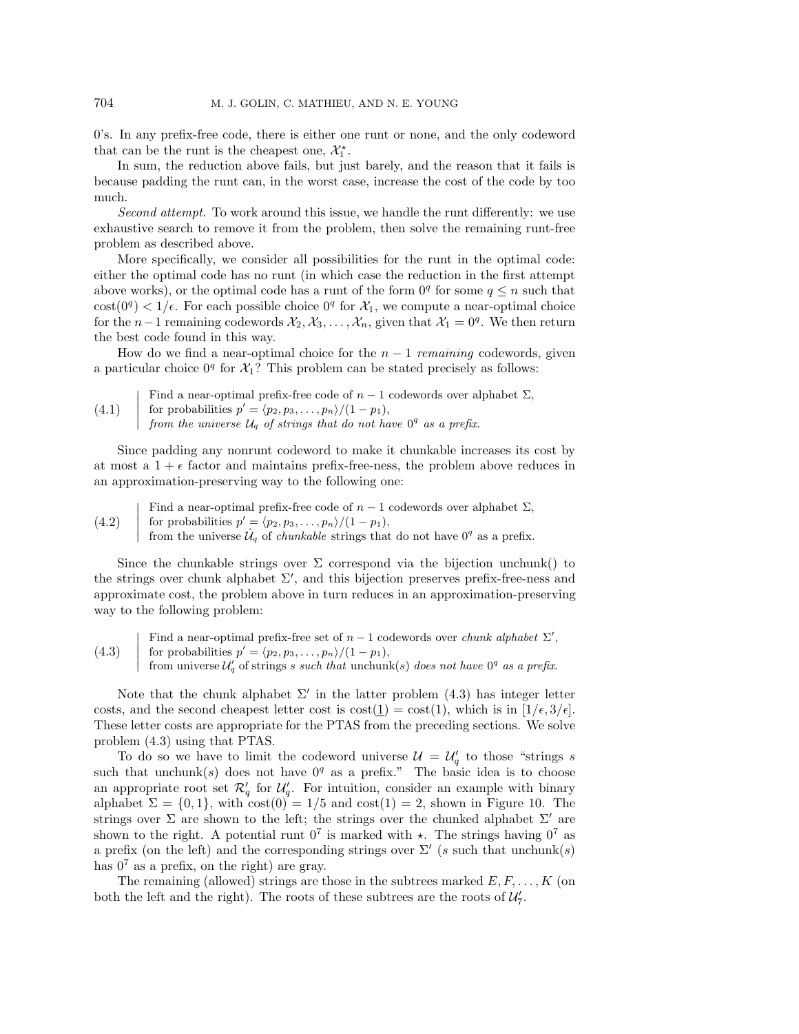0's. In any prefix-free code, there is either one runt or none, and the only codeword that can be the runt is the cheapest one,  $\mathcal{X}_1^*$ .<br>In sum, the reduction above fails, but ju

In sum, the reduction above fails, but just barely, and the reason that it fails is because padding the runt can, in the worst case, increase the cost of the code by too much.

*Second attempt*. To work around this issue, we handle the runt differently: we use exhaustive search to remove it from the problem, then solve the remaining runt-free problem as described above.

More specifically, we consider all possibilities for the runt in the optimal code: either the optimal code has no runt (in which case the reduction in the first attempt above works), or the optimal code has a runt of the form  $0<sup>q</sup>$  for some  $q \leq n$  such that  $\cot(0^q) < 1/\epsilon$ . For each possible choice  $0^q$  for  $\mathcal{X}_1$ , we compute a near-optimal choice for the n−1 remaining codewords  $\mathcal{X}_2, \mathcal{X}_3, \ldots, \mathcal{X}_n$ , given that  $\mathcal{X}_1 = 0^q$ . We then return the best code found in this way.

How do we find a near-optimal choice for the  $n-1$  *remaining* codewords, given a particular choice  $0^q$  for  $\mathcal{X}_1$ ? This problem can be stated precisely as follows:

\n- (4.1) Find a near-optimal prefix-free code of *n* − 1 codewords over alphabet 
$$
\Sigma
$$
, for probabilities  $p' = \langle p_2, p_3, \ldots, p_n \rangle / (1 - p_1)$ , from the universe  $\mathcal{U}_q$  of strings that do not have  $0^q$  as a prefix.
\n

Since padding any nonrunt codeword to make it chunkable increases its cost by at most a  $1 + \epsilon$  factor and maintains prefix-free-ness, the problem above reduces in an approximation-preserving way to the following one:

\n- (4.2) Find a near-optimal prefix-free code of *n* − 1 codewords over alphabet 
$$
\Sigma
$$
,
\n- (4.2) for probabilities  $p' = \langle p_2, p_3, \ldots, p_n \rangle / (1 - p_1)$ ,
\n- from the universe  $\hat{\mathcal{U}}_q$  of *chunkable* strings that do not have  $0^q$  as a prefix.
\n

Since the chunkable strings over  $\Sigma$  correspond via the bijection unchunk() to the strings over chunk alphabet  $\Sigma'$ , and this bijection preserves prefix-free-ness and approximate cost, the problem above in turn reduces in an approximation-preserving way to the following problem:

(4.3)  $\overline{\phantom{a}}$  $\overline{\phantom{a}}$  $\overline{\phantom{a}}$  $\overline{\phantom{a}}$  $\mid$ Find a near-optimal prefix-free set of  $n-1$  codewords over *chunk alphabet*  $\Sigma'$ , for probabilities  $p' = \langle p_2, p_3, \ldots, p_n \rangle / (1 - p_1),$ from universe  $\mathcal{U}'_q$  of strings s such that unchunk(s) does not have  $0^q$  as a prefix.

Note that the chunk alphabet  $\Sigma'$  in the latter problem (4.3) has integer letter costs, and the second cheapest letter cost is  $\text{cost}(\mathbf{1}) = \text{cost}(1)$ , which is in  $[1/\epsilon, 3/\epsilon]$ . These letter costs are appropriate for the PTAS from the preceding sections. We solve problem (4.3) using that PTAS.

To do so we have to limit the codeword universe  $\mathcal{U} = \mathcal{U}_q'$  to those "strings s such that unchunk(s) does not have  $0<sup>q</sup>$  as a prefix." The basic idea is to choose an appropriate root set  $\mathcal{R}'_q$  for  $\mathcal{U}'_q$ . For intuition, consider an example with binary alphabet  $\Sigma = \{0, 1\}$ , with  $\cos(0) = 1/5$  and  $\cos(1) = 2$ , shown in Figure 10. The strings over  $\Sigma$  are shown to the left; the strings over the chunked alphabet  $\Sigma'$  are shown to the right. A potential runt  $0^7$  is marked with  $\star$ . The strings having  $0^7$  as a prefix (on the left) and the corresponding strings over  $\Sigma'$  (s such that unchunk(s) has  $0^7$  as a prefix, on the right) are gray.

The remaining (allowed) strings are those in the subtrees marked  $E, F, \ldots, K$  (on both the left and the right). The roots of these subtrees are the roots of  $\mathcal{U}'_7$ .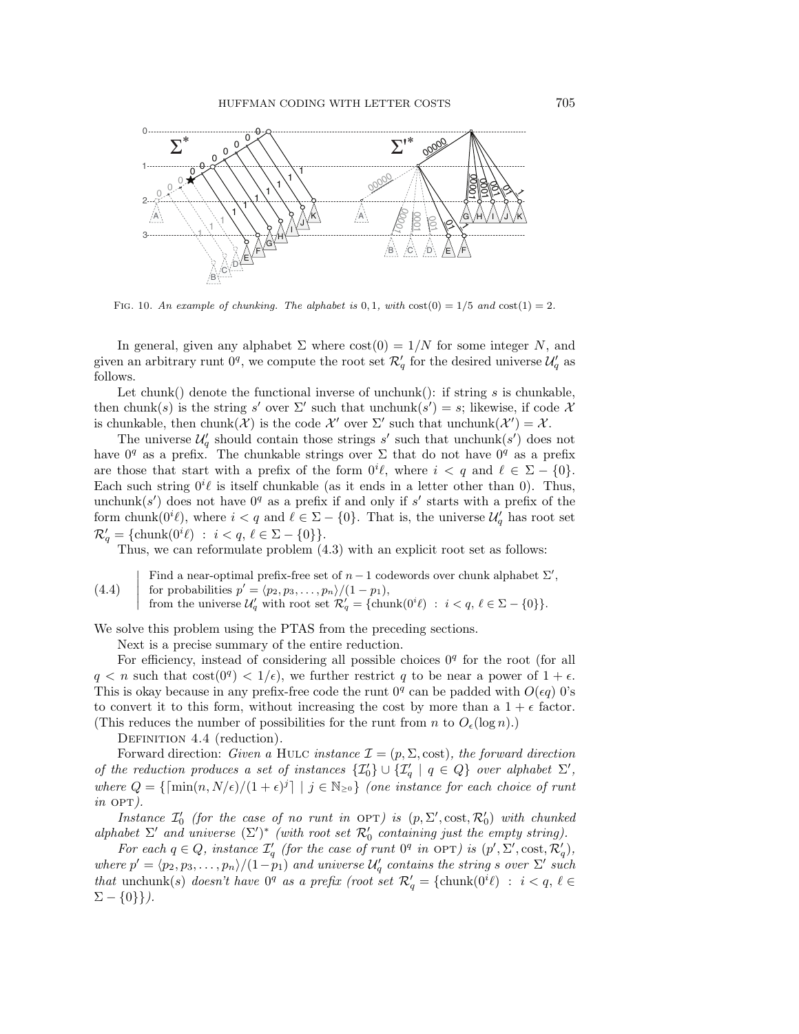

FIG. 10. An example of chunking. The alphabet is 0, 1, with  $\cos(0) = 1/5$  and  $\cos(1) = 2$ .

In general, given any alphabet  $\Sigma$  where  $cost(0) = 1/N$  for some integer N, and given an arbitrary runt  $0^q$ , we compute the root set  $\mathcal{R}'_q$  for the desired universe  $\mathcal{U}'_q$  as follows.

Let chunk() denote the functional inverse of unchunk(): if string s is chunkable, then chunk(s) is the string s' over  $\Sigma'$  such that unchunk(s') = s; likewise, if code X is chunkable, then chunk $(\mathcal{X})$  is the code  $\mathcal{X}'$  over  $\Sigma'$  such that unchunk $(\mathcal{X}') = \mathcal{X}$ .

The universe  $\mathcal{U}'_q$  should contain those strings s' such that unchunk $(s')$  does not have  $0<sup>q</sup>$  as a prefix. The chunkable strings over  $\Sigma$  that do not have  $0<sup>q</sup>$  as a prefix are those that start with a prefix of the form  $0^i \ell$ , where  $i < q$  and  $\ell \in \Sigma - \{0\}.$ Each such string  $0^i \ell$  is itself chunkable (as it ends in a letter other than 0). Thus, unchunk(s') does not have  $0<sup>q</sup>$  as a prefix if and only if s' starts with a prefix of the form chunk $(0^i \ell)$ , where  $i < q$  and  $\ell \in \Sigma - \{0\}$ . That is, the universe  $\mathcal{U}'_q$  has root set  $\mathcal{R}'_q = {\text{chunk}(0^i \ell) : i < q, \ell \in \Sigma - \{0\}}.$ 

Thus, we can reformulate problem (4.3) with an explicit root set as follows:

(4.4) Find a near-optimal prefix-free set of 
$$
n-1
$$
 codewords over chunk alphabet  $\Sigma'$ , for probabilities  $p' = \langle p_2, p_3, \ldots, p_n \rangle / (1 - p_1),$  from the universe  $\mathcal{U}'_q$  with root set  $\mathcal{R}'_q = \{\text{chunk}(0^i \ell) : i < q, \ell \in \Sigma - \{0\}\}.$ 

We solve this problem using the PTAS from the preceding sections.

Next is a precise summary of the entire reduction.

For efficiency, instead of considering all possible choices  $0<sup>q</sup>$  for the root (for all  $q < n$  such that  $cost(0^q) < 1/\epsilon$ , we further restrict q to be near a power of  $1 + \epsilon$ . This is okay because in any prefix-free code the runt  $0<sup>q</sup>$  can be padded with  $O(\epsilon q)$  0's to convert it to this form, without increasing the cost by more than a  $1 + \epsilon$  factor. (This reduces the number of possibilities for the runt from n to  $O_{\epsilon}(\log n)$ .)

DEFINITION 4.4 (reduction).

Forward direction: *Given a* HULC *instance*  $\mathcal{I} = (p, \Sigma, \text{cost})$ *, the forward direction of the reduction produces a set of instances*  $\{I_0'\} \cup \{I_4' \mid q \in Q\}$  *over alphabet*  $\Sigma'$ ,<br>*n k n o s s s imp(x, N(x)*(1+ x)<sup>{1</sup>) i.  $\in \mathbb{N}$ , i. (xps instance for seek choice of munit *where*  $Q = \{ \lceil \min(n, N/\epsilon)/(1 + \epsilon)^j \rceil \mid j \in \mathbb{N}_{\geq 0} \}$  *(one instance for each choice of runt*  $in$  OPT $)$ .

*Instance*  $I'_0$  (for the case of no runt in OPT) is  $(p, \Sigma', \text{cost}, \mathcal{R}'_0)$  with chunked and  $\Sigma'$  and universe  $(\Sigma')^*$  (with root set  $\mathcal{R}'$  containing just the empty string) *alphabet*  $\Sigma'$  *and universe*  $(\Sigma')^*$  *(with root set*  $\mathcal{R}'_0$  *containing just the empty string).*<br>For each  $a \in \Omega$  instance  $\mathcal{T}'$  (for the case of runt  $0^q$  in  $\Omega \Sigma'$ ) is  $(n' \Sigma'$  cost  $\mathcal{P}'$ )

*For each*  $q \in Q$ *, instance*  $\mathcal{I}'_q$  (for the case of runt  $0^q$  in  $\text{OPT}$ ) is  $(p', \Sigma', \text{cost}, \mathcal{R}'_q)$ , *where*  $p' = \langle p_2, p_3, \ldots, p_n \rangle / (1-p_1)$  *and universe*  $\mathcal{U}'_q$  *contains the string* s *over*  $\Sigma'$  *such*<br> $\mathcal{U}_q$  *i*  $\mathcal{U}_q$  *i*  $\mathcal{U}_q$  *i*  $\mathcal{U}_q$  *i*  $\mathcal{U}_q$  *i*  $\mathcal{U}_q$  *i*  $\mathcal{U}_q$  *i*  $\mathcal{U}_q$  *i that* unchunk(s) *doesn't have*  $0^q$  *as a prefix (root set*  $\mathcal{R}'_q = \{ \text{chunk}(0^i \ell) : i < q, \ell \in \mathcal{R}' \}$  $\Sigma - \{0\}\}.$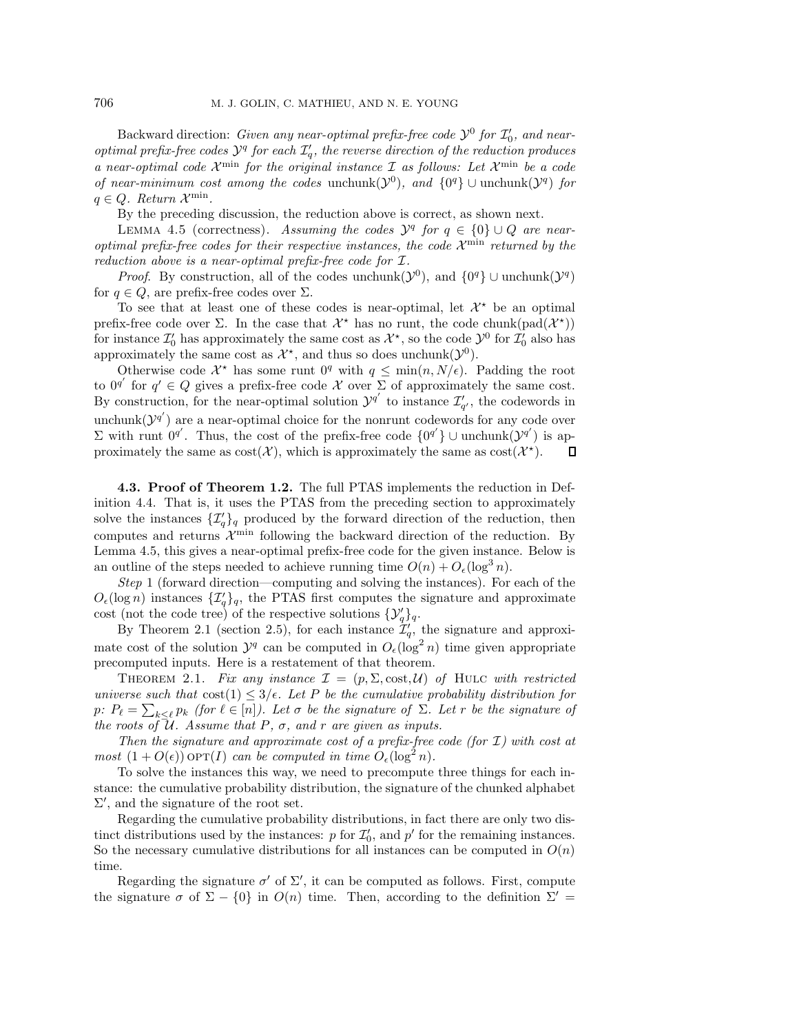$\alpha$  Backward direction: *Given any near-optimal prefix-free code*  $\mathcal{Y}^0$  *for*  $\mathcal{I}'_0$ *, and near-*<br>  $\alpha$ *l* and archivector free codes  $\mathcal{Y}^0$  for each  $\mathcal{I}'$ , the reverse direction of the reduction areduces *optimal prefix-free codes*  $\mathcal{Y}^q$  *for each*  $\mathcal{I}'_q$ *, the reverse direction of the reduction produces a near-optimal code*  $\mathcal{X}^{\min}$  *for the original instance*  $\mathcal{I}$  *as follows: Let*  $\mathcal{X}^{\min}$  *be a code of near-minimum cost among the codes* unchunk( $\mathcal{Y}^0$ )*, and*  $\{0^q\} \cup$  unchunk( $\mathcal{Y}^q$ ) *for*  $q \in Q$ *. Return*  $\mathcal{X}^{\min}$ *.* 

By the preceding discussion, the reduction above is correct, as shown next.

LEMMA 4.5 (correctness). *Assuming the codes*  $\mathcal{Y}^q$  *for*  $q \in \{0\} \cup Q$  *are nearoptimal prefix-free codes for their respective instances, the code*  $\mathcal{X}^{\min}$  *returned by the reduction above is a near-optimal prefix-free code for* I*.*

*Proof.* By construction, all of the codes unchunk( $\mathcal{Y}^0$ ), and  $\{0^q\}$  ∪ unchunk( $\mathcal{Y}^q$ ) for  $q \in Q$ , are prefix-free codes over  $\Sigma$ .

To see that at least one of these codes is near-optimal, let  $\mathcal{X}^*$  be an optimal prefix-free code over  $\Sigma$ . In the case that  $\mathcal{X}^*$  has no runt, the code chunk(pad( $\mathcal{X}^*$ )) for instance  $\mathcal{I}'_0$  has approximately the same cost as  $\mathcal{X}^*$ , so the code  $\mathcal{Y}^0$  for  $\mathcal{I}'_0$  also has approximately the same cost as  $\mathcal{X}^*$ , and thus so does unchunk $(\mathcal{Y}^0)$ .

Otherwise code  $\mathcal{X}^*$  has some runt  $0^q$  with  $q \leq \min(n, N/\epsilon)$ . Padding the root to  $0^{q'}$  for  $q' \in Q$  gives a prefix-free code X over  $\Sigma$  of approximately the same cost. By construction, for the near-optimal solution  $\mathcal{Y}^{q'}$  to instance  $\mathcal{I}'_{q'}$ , the codewords in unchunk $(\mathcal{Y}^{q'})$  are a near-optimal choice for the nonrunt codewords for any code over Σ with runt 0<sup>q'</sup>. Thus, the cost of the prefix-free code  $\{0^{q'}\}\cup$  unchunk( $\mathcal{Y}^{q'}$ ) is approximately the same as  $\text{cost}(\mathcal{X})$ , which is approximately the same as  $\text{cost}(\mathcal{X}^*)$ .  $\Box$ 

**4.3. Proof of Theorem 1.2.** The full PTAS implements the reduction in Definition 4.4. That is, it uses the PTAS from the preceding section to approximately solve the instances  $\{\mathcal{I}'_q\}_q$  produced by the forward direction of the reduction, then computes and returns  $\mathcal{X}^{\min}$  following the backward direction of the reduction. By Lemma 4.5, this gives a near-optimal prefix-free code for the given instance. Below is an outline of the steps needed to achieve running time  $O(n) + O_e(\log^3 n)$ .

*Step* 1 (forward direction—computing and solving the instances). For each of the  $O_{\epsilon}(\log n)$  instances  $\{\mathcal{I}'_q\}_q$ , the PTAS first computes the signature and approximate cost (not the code tree) of the respective solutions  $\{\mathcal{Y}'_q\}_q$ .

By Theorem 2.1 (section 2.5), for each instance  $\mathcal{I}'_q$ , the signature and approximate cost of the solution  $\mathcal{Y}^q$  can be computed in  $O_{\epsilon}(\log^2 n)$  time given appropriate precomputed inputs. Here is a restatement of that theorem.

THEOREM 2.1. Fix any instance  $\mathcal{I} = (p, \Sigma, \text{cost}, \mathcal{U})$  of HULC with restricted *universe such that*  $\cos(1) \leq 3/\epsilon$ . Let P be the cumulative probability distribution for p:  $P_{\ell} = \sum_{k \leq \ell} p_k$  *(for*  $\ell \in [n]$ *). Let*  $\sigma$  *be the signature of*  $\Sigma$ *. Let*  $r$  *be the signature of the roots of*  $\overline{\mathcal{U}}$ *. Assume that*  $P$ *,*  $\sigma$ *, and*  $r$  *are given as inputs.* 

*Then the signature and approximate cost of a prefix-free code (for* I*) with cost at most*  $(1 + O(\epsilon))$  op $T(I)$  *can be computed in time*  $O_{\epsilon}(\log^2 n)$ *.* 

To solve the instances this way, we need to precompute three things for each instance: the cumulative probability distribution, the signature of the chunked alphabet  $\Sigma'$ , and the signature of the root set.

Regarding the cumulative probability distributions, in fact there are only two distinct distributions used by the instances: p for  $\mathcal{I}'_0$ , and p' for the remaining instances.<br>So the possessive cumulative distributions for all instances can be computed in  $O(n)$ . So the necessary cumulative distributions for all instances can be computed in  $O(n)$ time.

Regarding the signature  $\sigma'$  of  $\Sigma'$ , it can be computed as follows. First, compute the signature  $\sigma$  of  $\Sigma - \{0\}$  in  $O(n)$  time. Then, according to the definition  $\Sigma' =$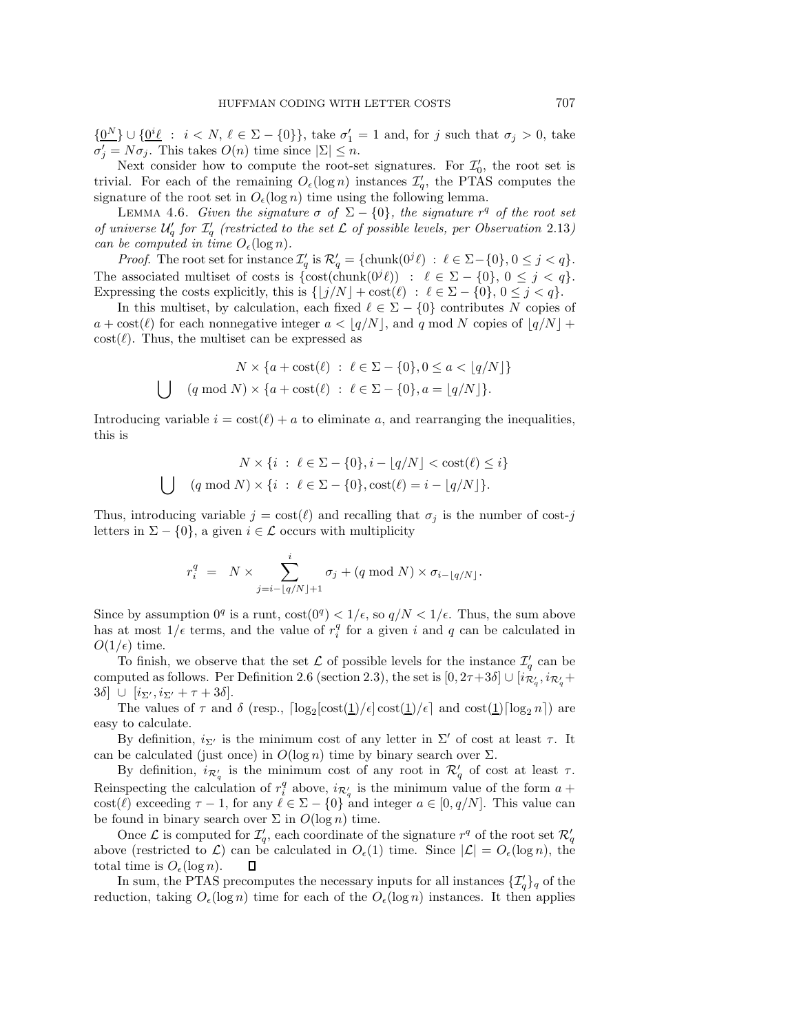${\Omega^N\}\cup{\Omega^i\ell}$  :  $i < N, \ell \in \Sigma - \{0\}\}$ , take  $\sigma'_1 = 1$  and, for j such that  $\sigma_j > 0$ , take  $\sigma'_j = N\sigma_j$ . This takes  $O(n)$  time since  $|\Sigma| \leq n$ .

Next consider how to compute the root-set signatures. For  $\mathcal{I}'_0$ , the root set is<br>al. For each of the remaining  $O(\log n)$  instances  $\mathcal{I}'$ , the PTAS computes the trivial. For each of the remaining  $O_{\epsilon}(\log n)$  instances  $\mathcal{I}'_q$ , the PTAS computes the signature of the root set in  $O_{\epsilon}(\log n)$  time using the following lemma.

LEMMA 4.6. *Given the signature*  $\sigma$  *of*  $\Sigma - \{0\}$ *, the signature*  $r<sup>q</sup>$  *of the root set of universe*  $\mathcal{U}'_q$  for  $\mathcal{I}'_q$  (restricted to the set  $\mathcal L$  of possible levels, per Observation 2.13) *can be computed in time*  $O_{\epsilon}(\log n)$ *.* 

*Proof.* The root set for instance  $\mathcal{I}'_q$  is  $\mathcal{R}'_q = {\text{chunk}(0^j \ell) : \ell \in \Sigma - \{0\}, 0 \leq j < q\}}.$ The associated multiset of costs is  $\{\cosh(\text{chunk}(0^j \ell)) : \ell \in \Sigma - \{0\}, 0 \leq j < q\}.$ Expressing the costs explicitly, this is  $\{|j/N| + \text{cost}(\ell) : \ell \in \Sigma - \{0\}, 0 \le j < q\}.$ 

In this multiset, by calculation, each fixed  $\ell \in \Sigma - \{0\}$  contributes N copies of  $a + \text{cost}(\ell)$  for each nonnegative integer  $a < \lfloor q/N \rfloor$ , and q mod N copies of  $\lfloor q/N \rfloor +$  $\text{cost}(\ell)$ . Thus, the multiset can be expressed as

$$
N \times \{a + \text{cost}(\ell) : \ell \in \Sigma - \{0\}, 0 \le a < \lfloor q/N \rfloor\}
$$
  

$$
\bigcup \{q \mod N \times \{a + \text{cost}(\ell) : \ell \in \Sigma - \{0\}, a = \lfloor q/N \rfloor\}.
$$

Introducing variable  $i = \text{cost}(\ell) + a$  to eliminate a, and rearranging the inequalities, this is

$$
N \times \{i : \ell \in \Sigma - \{0\}, i - \lfloor q/N \rfloor < \text{cost}(\ell) \le i\}
$$
  

$$
\bigcup \quad (q \bmod N) \times \{i : \ell \in \Sigma - \{0\}, \text{cost}(\ell) = i - \lfloor q/N \rfloor\}.
$$

Thus, introducing variable  $j = \text{cost}(\ell)$  and recalling that  $\sigma_j$  is the number of cost-j letters in  $\Sigma - \{0\}$ , a given  $i \in \mathcal{L}$  occurs with multiplicity

$$
r_i^q = N \times \sum_{j=i-\lfloor q/N \rfloor+1}^i \sigma_j + (q \bmod N) \times \sigma_{i-\lfloor q/N \rfloor}.
$$

Since by assumption  $0^q$  is a runt,  $\cot(0^q) < 1/\epsilon$ , so  $q/N < 1/\epsilon$ . Thus, the sum above has at most  $1/\epsilon$  terms, and the value of  $r_i^q$  for a given i and q can be calculated in  $O(1/\epsilon)$  time.

To finish, we observe that the set  $\mathcal L$  of possible levels for the instance  $\mathcal I_q'$  can be computed as follows. Per Definition 2.6 (section 2.3), the set is  $[0, 2\tau+3\delta] \cup [i_{\mathcal{R}'_q}, i_{\mathcal{R}'_q}+2\delta]$ 3δ]  $\cup$   $[i_{\Sigma'}, i_{\Sigma'} + \tau + 3\delta].$ <br>The values of  $\tau$  and

The values of  $\tau$  and  $\delta$  (resp.,  $\lceil \log_2[\text{cost}(\underline{1})/\epsilon] \text{ cost}(\underline{1})/\epsilon \rceil$  and  $\text{cost}(\underline{1})\lceil \log_2 n \rceil$ ) are easy to calculate.

By definition,  $i_{\Sigma'}$  is the minimum cost of any letter in  $\Sigma'$  of cost at least  $\tau$ . It can be calculated (just once) in  $O(\log n)$  time by binary search over  $\Sigma$ .

By definition,  $i_{\mathcal{R}'_q}$  is the minimum cost of any root in  $\mathcal{R}'_q$  of cost at least  $\tau$ . Reinspecting the calculation of  $r_i^q$  above,  $i_{\mathcal{R}'_q}$  is the minimum value of the form  $a +$ <br>exact(e) areas in  $\tau = 1$  for any  $\ell \in \mathbb{R}$ . [0] and integer  $\epsilon \in [0, \epsilon/\mathcal{N}]$ . This value can cost( $\ell$ ) exceeding  $\tau - 1$ , for any  $\ell \in \Sigma - \{0\}$  and integer  $a \in [0, q/N]$ . This value can be found in binary search over  $\Sigma$  in  $O(\log n)$  time.

Once  $\mathcal L$  is computed for  $\mathcal I_q'$ , each coordinate of the signature  $r^q$  of the root set  $\mathcal R_q'$ above (restricted to  $\mathcal{L}$ ) can be calculated in  $O_{\epsilon}(1)$  time. Since  $|\mathcal{L}| = O_{\epsilon}(\log n)$ , the total time is  $O_{\epsilon}(\log n)$ .  $\Box$ 

In sum, the PTAS precomputes the necessary inputs for all instances  $\{\mathcal{I}'_q\}_q$  of the reduction, taking  $O_{\epsilon}(\log n)$  time for each of the  $O_{\epsilon}(\log n)$  instances. It then applies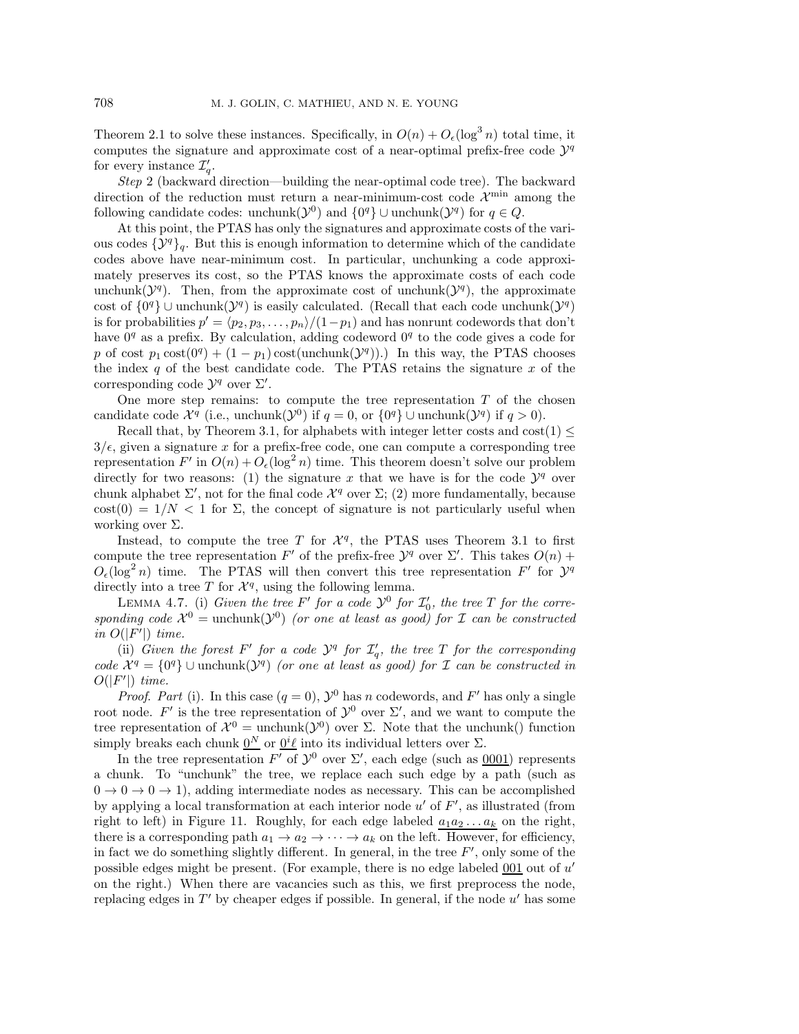Theorem 2.1 to solve these instances. Specifically, in  $O(n) + O_{\epsilon}(\log^3 n)$  total time, it computes the signature and approximate cost of a near-optimal prefix-free code  $\mathcal{Y}^q$ for every instance  $\mathcal{I}'_q$ .

*Step* 2 (backward direction—building the near-optimal code tree). The backward direction of the reduction must return a near-minimum-cost code  $\mathcal{X}^{\min}$  among the following candidate codes: unchunk( $\mathcal{Y}^0$ ) and  $\{0^q\} \cup$  unchunk( $\mathcal{Y}^q$ ) for  $q \in Q$ .

At this point, the PTAS has only the signatures and approximate costs of the various codes  $\{\mathcal{Y}^q\}_q$ . But this is enough information to determine which of the candidate codes above have near-minimum cost. In particular, unchunking a code approximately preserves its cost, so the PTAS knows the approximate costs of each code unchunk( $\mathcal{Y}^q$ ). Then, from the approximate cost of unchunk( $\mathcal{Y}^q$ ), the approximate cost of  $\{0^q\}$  ∪ unchunk $(\mathcal{Y}^q)$  is easily calculated. (Recall that each code unchunk $(\mathcal{Y}^q)$ is for probabilities  $p' = \langle p_2, p_3, \ldots, p_n \rangle / (1-p_1)$  and has nonrunt codewords that don't have  $0<sup>q</sup>$  as a prefix. By calculation, adding codeword  $0<sup>q</sup>$  to the code gives a code for p of cost  $p_1 \text{cost}(0^q) + (1 - p_1) \text{cost}(\text{unchunk}(\mathcal{Y}^q))$ . In this way, the PTAS chooses the index q of the best candidate code. The PTAS retains the signature  $x$  of the corresponding code  $\mathcal{Y}^q$  over  $\Sigma'$ .

One more step remains: to compute the tree representation  $T$  of the chosen candidate code  $\mathcal{X}^q$  (i.e., unchunk( $\mathcal{Y}^0$ ) if  $q = 0$ , or  $\{0^q\} \cup$  unchunk( $\mathcal{Y}^q$ ) if  $q > 0$ ).

Recall that, by Theorem 3.1, for alphabets with integer letter costs and  $cost(1) \leq$  $3/\epsilon$ , given a signature x for a prefix-free code, one can compute a corresponding tree representation  $F'$  in  $O(n) + O_{\epsilon}(\log^2 n)$  time. This theorem doesn't solve our problem directly for two reasons: (1) the signature x that we have is for the code  $\mathcal{Y}^q$  over chunk alphabet  $\Sigma'$ , not for the final code  $\mathcal{X}^q$  over  $\Sigma$ ; (2) more fundamentally, because cost(0) =  $1/N < 1$  for  $\Sigma$ , the concept of signature is not particularly useful when working over  $\Sigma$ .

Instead, to compute the tree T for  $\mathcal{X}^q$ , the PTAS uses Theorem 3.1 to first compute the tree representation F' of the prefix-free  $\mathcal{Y}^q$  over  $\Sigma'$ . This takes  $O(n)$  +  $O_{\epsilon}(\log^2 n)$  time. The PTAS will then convert this tree representation  $F'$  for  $\mathcal{Y}^q$ directly into a tree T for  $\mathcal{X}^q$ , using the following lemma.

LEMMA 4.7. (i) *Given the tree* F' for a code  $\mathcal{Y}^0$  for  $\mathcal{I}'_0$ , the tree T for the corre-<br>
oding code  $\mathcal{Y}^0$  – unchunk( $\mathcal{Y}^0$ ) (or one at least as good) for  $\mathcal{I}$  can be constructed *sponding code*  $\mathcal{X}^0$  = unchunk( $\mathcal{Y}^0$ ) *(or one at least as good) for I can be constructed in*  $O(|F'|)$  *time.* 

(ii) *Given the forest*  $F'$  *for a code*  $\mathcal{Y}^q$  *for*  $\mathcal{I}'_q$ *, the tree*  $T$  *for the corresponding code*  $\mathcal{X}^q = \{0\}$  ∪ unchunk $(\mathcal{Y}^q)$  *(or one at least as good) for*  $\mathcal I$  *can be constructed in*  $O(|F'|)$  time.

*Proof. Part* (i). In this case  $(q = 0)$ ,  $\mathcal{Y}^0$  has n codewords, and F' has only a single root node. F' is the tree representation of  $\mathcal{Y}^0$  over  $\Sigma'$ , and we want to compute the tree representation of  $\mathcal{X}^0$  = unchunk()<sup>0</sup>) over Σ. Note that the unchunk() function simply breaks each chunk  $\underline{0}^N$  or  $\underline{0}^i\underline{\ell}$  into its individual letters over  $\Sigma$ .

In the tree representation  $F'$  of  $\mathcal{Y}^0$  over  $\Sigma'$ , each edge (such as  $\underline{0001}$ ) represents a chunk. To "unchunk" the tree, we replace each such edge by a path (such as  $0 \to 0 \to 0 \to 1$ , adding intermediate nodes as necessary. This can be accomplished by applying a local transformation at each interior node  $u'$  of  $F'$ , as illustrated (from right to left) in Figure 11. Roughly, for each edge labeled  $a_1a_2...a_k$  on the right, there is a corresponding path  $a_1 \rightarrow a_2 \rightarrow \cdots \rightarrow a_k$  on the left. However, for efficiency, in fact we do something slightly different. In general, in the tree  $F'$ , only some of the possible edges might be present. (For example, there is no edge labeled  $\underline{001}$  out of u' on the right.) When there are vacancies such as this, we first preprocess the node, replacing edges in  $T'$  by cheaper edges if possible. In general, if the node  $u'$  has some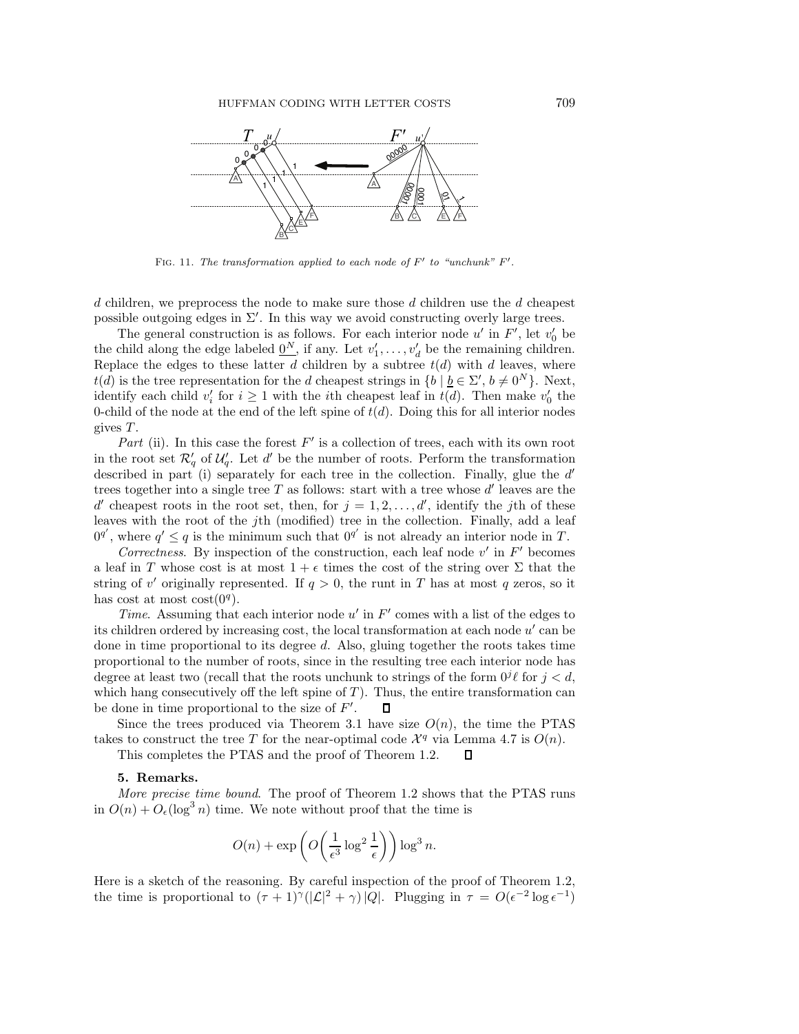

FIG. 11. The transformation applied to each node of  $F'$  to "unchunk"  $F'$ .

d children, we preprocess the node to make sure those d children use the d cheapest possible outgoing edges in  $\Sigma'$ . In this way we avoid constructing overly large trees.

The general construction is as follows. For each interior node u' in F', let  $v'_0$  be the child along the edge labeled  $\underline{0}^N$ , if any. Let  $v'_1, \ldots, v'_d$  be the remaining children.<br>Replace the edges to these latter d c Replace the edges to these latter d children by a subtree  $t(d)$  with d leaves, where  $t(d)$  is the tree representation for the d cheapest strings in  $\{b \mid \underline{b} \in \Sigma', b \neq 0^N\}$ . Next, identify each child  $v'_i$  for  $i \ge 1$  with the *i*th cheapest leaf in  $t(d)$ . Then make  $v'_0$  the 0-child of the node at the end of the left spine of  $t(d)$ . Doing this for all interior nodes gives T .

*Part* (ii). In this case the forest  $F'$  is a collection of trees, each with its own root in the root set  $\mathcal{R}'_q$  of  $\mathcal{U}'_q$ . Let d' be the number of roots. Perform the transformation described in part (i) separately for each tree in the collection. Finally, glue the  $d'$ trees together into a single tree T as follows: start with a tree whose  $d'$  leaves are the d' cheapest roots in the root set, then, for  $j = 1, 2, \ldots, d'$ , identify the jth of these leaves with the root of the j<sup>th</sup> (modified) tree in the collection. Finally, add a leaf  $0^{q'}$ , where  $q' \leq q$  is the minimum such that  $0^{q'}$  is not already an interior node in T.

*Correctness.* By inspection of the construction, each leaf node  $v'$  in  $F'$  becomes a leaf in T whose cost is at most  $1 + \epsilon$  times the cost of the string over  $\Sigma$  that the string of v' originally represented. If  $q > 0$ , the runt in T has at most q zeros, so it has cost at most cost $(0<sup>q</sup>)$ .

*Time*. Assuming that each interior node  $u'$  in  $F'$  comes with a list of the edges to its children ordered by increasing cost, the local transformation at each node  $u'$  can be done in time proportional to its degree d. Also, gluing together the roots takes time proportional to the number of roots, since in the resulting tree each interior node has degree at least two (recall that the roots unchunk to strings of the form  $0^j\ell$  for  $j < d$ , which hang consecutively off the left spine of  $T$ ). Thus, the entire transformation can be done in time proportional to the size of F . П

Since the trees produced via Theorem 3.1 have size  $O(n)$ , the time the PTAS takes to construct the tree T for the near-optimal code  $\mathcal{X}^q$  via Lemma 4.7 is  $O(n)$ .

 $\Box$ 

This completes the PTAS and the proof of Theorem 1.2.

## **5. Remarks.**

*More precise time bound*. The proof of Theorem 1.2 shows that the PTAS runs in  $O(n) + O_{\epsilon}(\log^3 n)$  time. We note without proof that the time is

$$
O(n) + \exp\left(O\left(\frac{1}{\epsilon^3} \log^2 \frac{1}{\epsilon}\right)\right) \log^3 n.
$$

Here is a sketch of the reasoning. By careful inspection of the proof of Theorem 1.2, the time is proportional to  $(\tau + 1)^{\gamma}(|\mathcal{L}|^2 + \gamma)|Q|$ . Plugging in  $\tau = O(\epsilon^{-2} \log \epsilon^{-1})$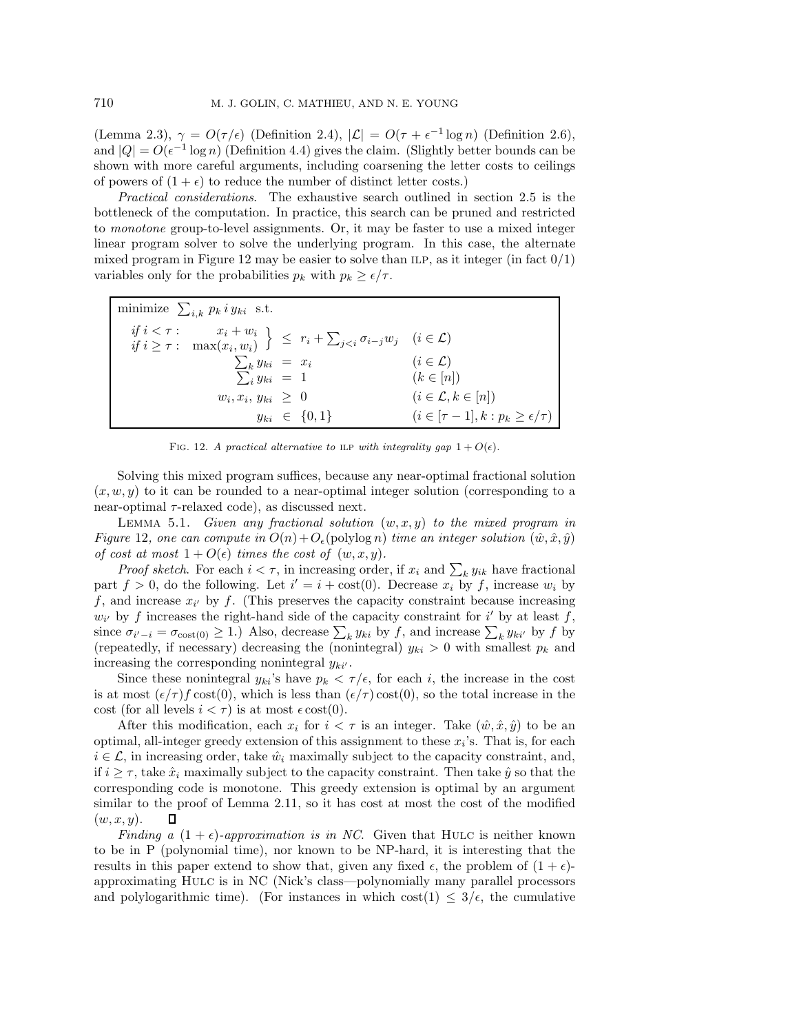(Lemma 2.3),  $\gamma = O(\tau/\epsilon)$  (Definition 2.4),  $|\mathcal{L}| = O(\tau + \epsilon^{-1} \log n)$  (Definition 2.6), and  $|Q| = O(\epsilon^{-1} \log n)$  (Definition 4.4) gives the claim. (Slightly better bounds can be shown with more careful arguments, including coarsening the letter costs to ceilings of powers of  $(1 + \epsilon)$  to reduce the number of distinct letter costs.)

*Practical considerations*. The exhaustive search outlined in section 2.5 is the bottleneck of the computation. In practice, this search can be pruned and restricted to *monotone* group-to-level assignments. Or, it may be faster to use a mixed integer linear program solver to solve the underlying program. In this case, the alternate mixed program in Figure 12 may be easier to solve than ILP, as it integer (in fact  $0/1$ ) variables only for the probabilities  $p_k$  with  $p_k \geq \epsilon/\tau$ .

| minimize $\sum_{i,k} p_k i y_{ki}$ s.t.                                                                                                                                                                     |                      |                                                |  |
|-------------------------------------------------------------------------------------------------------------------------------------------------------------------------------------------------------------|----------------------|------------------------------------------------|--|
| $\left. \begin{array}{ll} \it{if} \; i < \tau : & x_i + w_i \\ \it{if} \; i \geq \tau : & \max(x_i, w_i) \end{array} \right\} \;\; \leq \;\; r_i + \sum_{j < i} \sigma_{i-j} w_j \quad (i \in \mathcal{L})$ |                      |                                                |  |
| $\sum_k y_{ki} = x_i$                                                                                                                                                                                       |                      | $(i \in \mathcal{L})$                          |  |
| $\sum_{i} y_{ki} = 1$                                                                                                                                                                                       |                      | $(k \in [n])$                                  |  |
| $w_i, x_i, y_{ki} \geq 0$                                                                                                                                                                                   |                      | $(i \in \mathcal{L}, k \in [n])$               |  |
|                                                                                                                                                                                                             | $y_{ki} \in \{0,1\}$ | $(i \in [\tau-1], k : p_k \geq \epsilon/\tau)$ |  |

FIG. 12. A practical alternative to ILP with integrality gap  $1 + O(\epsilon)$ .

Solving this mixed program suffices, because any near-optimal fractional solution  $(x, w, y)$  to it can be rounded to a near-optimal integer solution (corresponding to a near-optimal  $\tau$ -relaxed code), as discussed next.

LEMMA 5.1. *Given any fractional solution*  $(w, x, y)$  to the mixed program in *Figure* 12, one can compute in  $O(n) + O_{\epsilon}(\text{polylog } n)$  *time an integer solution*  $(\hat{w}, \hat{x}, \hat{y})$ *of cost at most*  $1 + O(\epsilon)$  *times the cost of*  $(w, x, y)$ *.* 

*Proof sketch*. For each  $i < \tau$ , in increasing order, if  $x_i$  and  $\sum_k y_{ik}$  have fractional part  $f > 0$ , do the following. Let  $i' = i + \text{cost}(0)$ . Decrease  $x_i$  by f, increase  $w_i$  by f, and increase  $x_{i'}$  by f. (This preserves the capacity constraint because increasing  $w_{i'}$  by f increases the right-hand side of the capacity constraint for i' by at least f, since  $\sigma_{i'-i} = \sigma_{\text{cost}(0)} \geq 1$ .) Also, decrease  $\sum_k y_{ki}$  by f, and increase  $\sum_k y_{ki'}$  by f by f and increase  $\sum_k y_{ki'}$  by f by (repeatedly, if necessary) decreasing the (nonintegral)  $y_{ki} > 0$  with smallest  $p_k$  and increasing the corresponding nonintegral  $y_{ki'}$ .

Since these nonintegral  $y_{ki}$ 's have  $p_k < \tau/\epsilon$ , for each i, the increase in the cost is at most  $(\epsilon/\tau) f \text{ cost}(0)$ , which is less than  $(\epsilon/\tau) \text{ cost}(0)$ , so the total increase in the cost (for all levels  $i < \tau$ ) is at most  $\epsilon \cot(0)$ .

After this modification, each  $x_i$  for  $i < \tau$  is an integer. Take  $(\hat{w}, \hat{x}, \hat{y})$  to be an optimal, all-integer greedy extension of this assignment to these  $x_i$ 's. That is, for each  $i \in \mathcal{L}$ , in increasing order, take  $\hat{w}_i$  maximally subject to the capacity constraint, and, if  $i \geq \tau$ , take  $\hat{x}_i$  maximally subject to the capacity constraint. Then take  $\hat{y}$  so that the corresponding code is monotone. This greedy extension is optimal by an argument similar to the proof of Lemma 2.11, so it has cost at most the cost of the modified  $(w, x, y)$ .

*Finding a*  $(1 + \epsilon)$ *-approximation is in NC*. Given that HULC is neither known to be in P (polynomial time), nor known to be NP-hard, it is interesting that the results in this paper extend to show that, given any fixed  $\epsilon$ , the problem of  $(1 + \epsilon)$ approximating Hulc is in NC (Nick's class—polynomially many parallel processors and polylogarithmic time). (For instances in which cost(1)  $\leq 3/\epsilon$ , the cumulative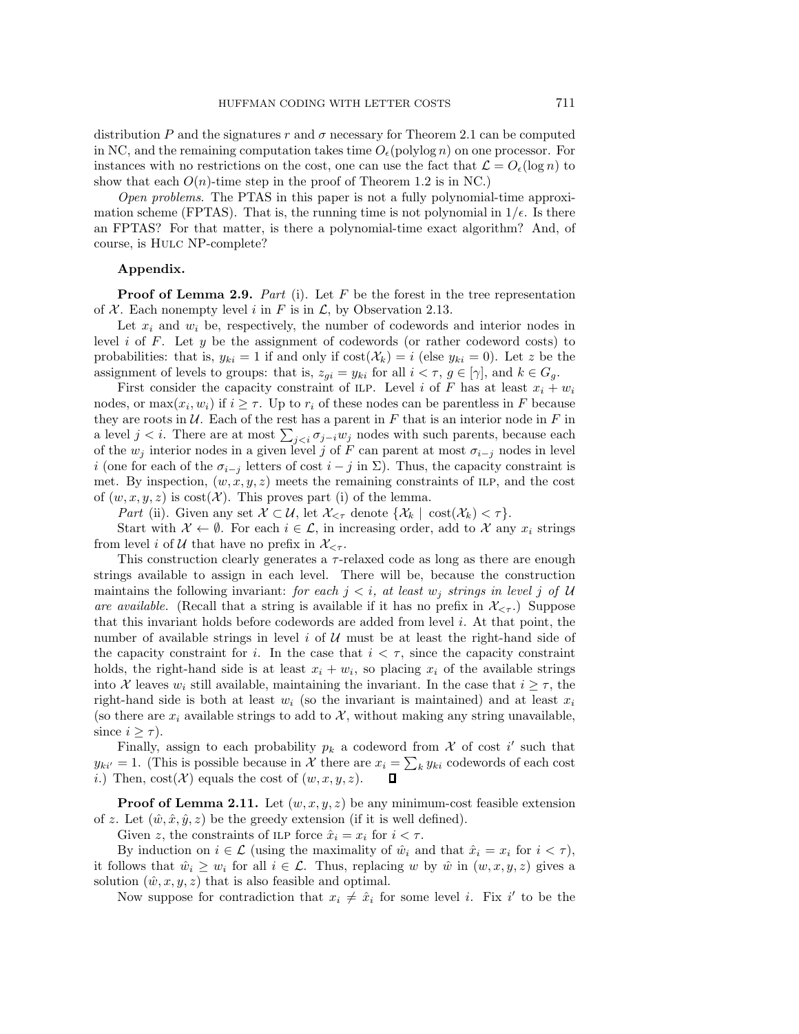distribution P and the signatures r and  $\sigma$  necessary for Theorem 2.1 can be computed in NC, and the remaining computation takes time  $O_{\epsilon}(\mathrm{polylog} n)$  on one processor. For instances with no restrictions on the cost, one can use the fact that  $\mathcal{L} = O_{\epsilon}(\log n)$  to show that each  $O(n)$ -time step in the proof of Theorem 1.2 is in NC.)

*Open problems*. The PTAS in this paper is not a fully polynomial-time approximation scheme (FPTAS). That is, the running time is not polynomial in  $1/\epsilon$ . Is there an FPTAS? For that matter, is there a polynomial-time exact algorithm? And, of course, is Hulc NP-complete?

## **Appendix.**

**Proof of Lemma 2.9.** *Part* (i). Let F be the forest in the tree representation of  $X$ . Each nonempty level i in F is in  $\mathcal{L}$ , by Observation 2.13.

Let  $x_i$  and  $w_i$  be, respectively, the number of codewords and interior nodes in level i of F. Let  $y$  be the assignment of codewords (or rather codeword costs) to probabilities: that is,  $y_{ki} = 1$  if and only if  $cost(\mathcal{X}_k) = i$  (else  $y_{ki} = 0$ ). Let z be the assignment of levels to groups: that is,  $z_{gi} = y_{ki}$  for all  $i < \tau$ ,  $g \in [\gamma]$ , and  $k \in G_g$ .

First consider the capacity constraint of ILP. Level i of F has at least  $x_i + w_i$ nodes, or  $\max(x_i, w_i)$  if  $i \geq \tau$ . Up to  $r_i$  of these nodes can be parentless in F because they are roots in  $U$ . Each of the rest has a parent in F that is an interior node in F in a level  $j < i$ . There are at most  $\sum_{j < i} \sigma_{j-i} w_j$  nodes with such parents, because each of the  $w_j$  interior nodes in a given level j of F can parent at most  $\sigma_{i-j}$  nodes in level i (one for each of the  $\sigma_{i-j}$  letters of cost  $i-j$  in  $\Sigma$ ). Thus, the capacity constraint is met. By inspection,  $(w, x, y, z)$  meets the remaining constraints of ILP, and the cost of  $(w, x, y, z)$  is cost(X). This proves part (i) of the lemma.

*Part* (ii). Given any set  $\mathcal{X} \subset \mathcal{U}$ , let  $\mathcal{X}_{\leq \tau}$  denote  $\{\mathcal{X}_k \mid \text{cost}(\mathcal{X}_k) \leq \tau\}.$ 

Start with  $\mathcal{X} \leftarrow \emptyset$ . For each  $i \in \mathcal{L}$ , in increasing order, add to  $\mathcal{X}$  any  $x_i$  strings from level i of U that have no prefix in  $\mathcal{X}_{\leq \tau}$ .

This construction clearly generates a τ-relaxed code as long as there are enough strings available to assign in each level. There will be, because the construction maintains the following invariant: *for each*  $j < i$ , at least  $w_j$  *strings in level* j of U *are available.* (Recall that a string is available if it has no prefix in  $\mathcal{X}_{\leq \tau}$ .) Suppose that this invariant holds before codewords are added from level  $i$ . At that point, the number of available strings in level  $i$  of  $\mathcal U$  must be at least the right-hand side of the capacity constraint for i. In the case that  $i < \tau$ , since the capacity constraint holds, the right-hand side is at least  $x_i + w_i$ , so placing  $x_i$  of the available strings into X leaves  $w_i$  still available, maintaining the invariant. In the case that  $i \geq \tau$ , the right-hand side is both at least  $w_i$  (so the invariant is maintained) and at least  $x_i$ (so there are  $x_i$  available strings to add to X, without making any string unavailable, since  $i \geq \tau$ ).

Finally, assign to each probability  $p_k$  a codeword from X of cost i' such that  $y_{ki'} = 1$ . (This is possible because in X there are  $x_i = \sum_k y_{ki}$  codewords of each cost i.) Then,  $cost(\mathcal{X})$  equals the cost of  $(w, x, y, z)$ .  $\Box$ 

**Proof of Lemma 2.11.** Let  $(w, x, y, z)$  be any minimum-cost feasible extension of z. Let  $(\hat{w}, \hat{x}, \hat{y}, z)$  be the greedy extension (if it is well defined).

Given z, the constraints of ILP force  $\hat{x}_i = x_i$  for  $i < \tau$ .

By induction on  $i \in \mathcal{L}$  (using the maximality of  $\hat{w}_i$  and that  $\hat{x}_i = x_i$  for  $i < \tau$ ), it follows that  $\hat{w}_i \geq w_i$  for all  $i \in \mathcal{L}$ . Thus, replacing w by  $\hat{w}$  in  $(w, x, y, z)$  gives a solution  $(\hat{w}, x, y, z)$  that is also feasible and optimal.

Now suppose for contradiction that  $x_i \neq \hat{x}_i$  for some level *i*. Fix *i'* to be the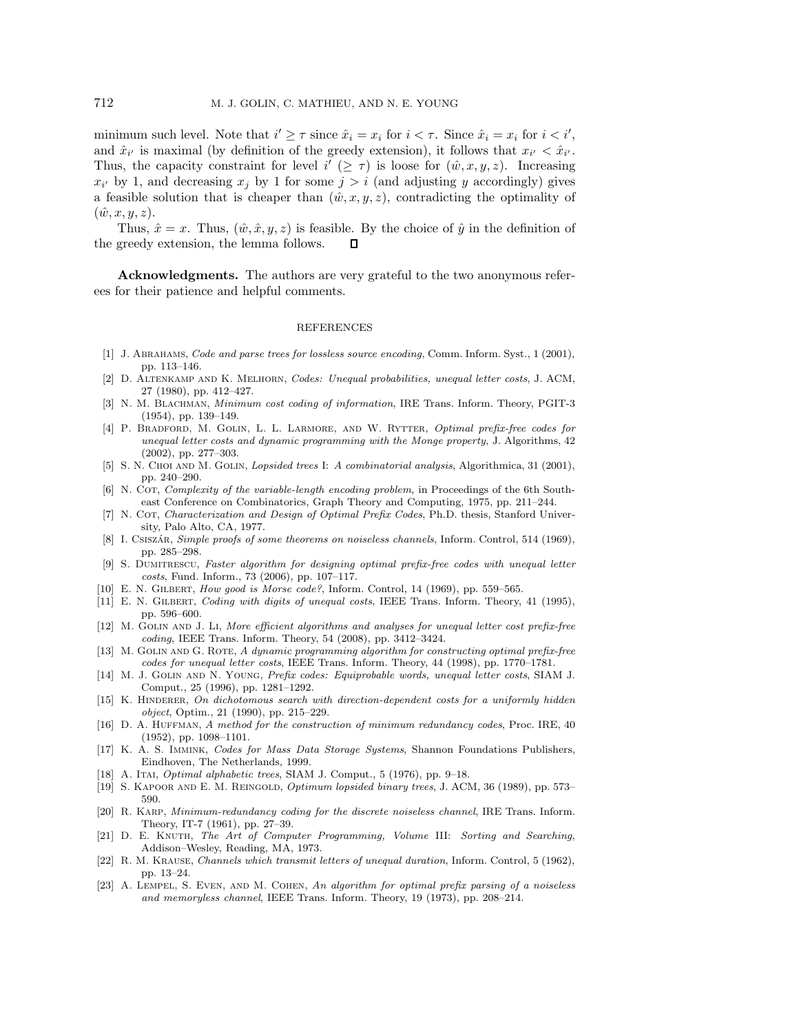minimum such level. Note that  $i' \geq \tau$  since  $\hat{x}_i = x_i$  for  $i < \tau$ . Since  $\hat{x}_i = x_i$  for  $i < i'$ , and  $\hat{x}_{i'}$  is maximal (by definition of the greedy extension), it follows that  $x_{i'} < \hat{x}_{i'}$ . Thus, the capacity constraint for level  $i' (\geq \tau)$  is loose for  $(\hat{w}, x, y, z)$ . Increasing  $x_{i'}$  by 1, and decreasing  $x_j$  by 1 for some  $j>i$  (and adjusting y accordingly) gives a feasible solution that is cheaper than  $(\hat{w}, x, y, z)$ , contradicting the optimality of  $(\hat{w}, x, y, z)$ .

Thus,  $\hat{x} = x$ . Thus,  $(\hat{w}, \hat{x}, y, z)$  is feasible. By the choice of  $\hat{y}$  in the definition of the greedy extension, the lemma follows.  $\Box$ 

**Acknowledgments.** The authors are very grateful to the two anonymous referees for their patience and helpful comments.

## **REFERENCES**

- [1] J. ABRAHAMS, *Code and parse trees for lossless source encoding*, Comm. Inform. Syst., 1 (2001), pp. 113–146.
- [2] D. Altenkamp and K. Melhorn, Codes: Unequal probabilities, unequal letter costs, J. ACM, 27 (1980), pp. 412–427.
- [3] N. M. BLACHMAN, *Minimum cost coding of information*, IRE Trans. Inform. Theory, PGIT-3 (1954), pp. 139–149.
- [4] P. BRADFORD, M. GOLIN, L. L. LARMORE, AND W. RYTTER, Optimal prefix-free codes for unequal letter costs and dynamic programming with the Monge property, J. Algorithms, 42 (2002), pp. 277–303.
- [5] S. N. CHOI AND M. GOLIN, *Lopsided trees* I: A combinatorial analysis, Algorithmica, 31 (2001), pp. 240–290.
- [6] N. COT, Complexity of the variable-length encoding problem, in Proceedings of the 6th Southeast Conference on Combinatorics, Graph Theory and Computing, 1975, pp. 211–244.
- [7] N. COT, Characterization and Design of Optimal Prefix Codes, Ph.D. thesis, Stanford University, Palo Alto, CA, 1977.
- [8] I. CSISZÁR, Simple proofs of some theorems on noiseless channels, Inform. Control, 514 (1969), pp. 285–298.
- [9] S. Dumitrescu, Faster algorithm for designing optimal prefix-free codes with unequal letter costs, Fund. Inform., 73 (2006), pp. 107–117.
- [10] E. N. Gilbert, How good is Morse code?, Inform. Control, 14 (1969), pp. 559–565.
- [11] E. N. GILBERT, Coding with digits of unequal costs, IEEE Trans. Inform. Theory, 41 (1995), pp. 596–600.
- [12] M. GOLIN AND J. Li, More efficient algorithms and analyses for unequal letter cost prefix-free coding, IEEE Trans. Inform. Theory, 54 (2008), pp. 3412–3424.
- [13] M. GOLIN AND G. ROTE, A dynamic programming algorithm for constructing optimal prefix-free codes for unequal letter costs, IEEE Trans. Inform. Theory, 44 (1998), pp. 1770–1781.
- [14] M. J. GOLIN AND N. YOUNG, Prefix codes: Equiprobable words, unequal letter costs, SIAM J. Comput., 25 (1996), pp. 1281–1292.
- [15] K. HINDERER, On dichotomous search with direction-dependent costs for a uniformly hidden object, Optim., 21 (1990), pp. 215–229.
- [16] D. A. HUFFMAN, A method for the construction of minimum redundancy codes, Proc. IRE, 40 (1952), pp. 1098–1101.
- [17] K. A. S. Immink, Codes for Mass Data Storage Systems, Shannon Foundations Publishers, Eindhoven, The Netherlands, 1999.
- [18] A. Itai, *Optimal alphabetic trees*, SIAM J. Comput., 5 (1976), pp. 9–18.
- [19] S. Kapoor and E. M. Reingold, Optimum lopsided binary trees, J. ACM, 36 (1989), pp. 573– 590.
- [20] R. KARP, Minimum-redundancy coding for the discrete noiseless channel, IRE Trans. Inform. Theory, IT-7 (1961), pp. 27–39.
- [21] D. E. Knuth, The Art of Computer Programming, Volume III: Sorting and Searching, Addison–Wesley, Reading, MA, 1973.
- [22] R. M. Krause, Channels which transmit letters of unequal duration, Inform. Control, 5 (1962), pp. 13–24.
- [23] A. LEMPEL, S. EVEN, AND M. COHEN, An algorithm for optimal prefix parsing of a noiseless and memoryless channel, IEEE Trans. Inform. Theory, 19 (1973), pp. 208–214.